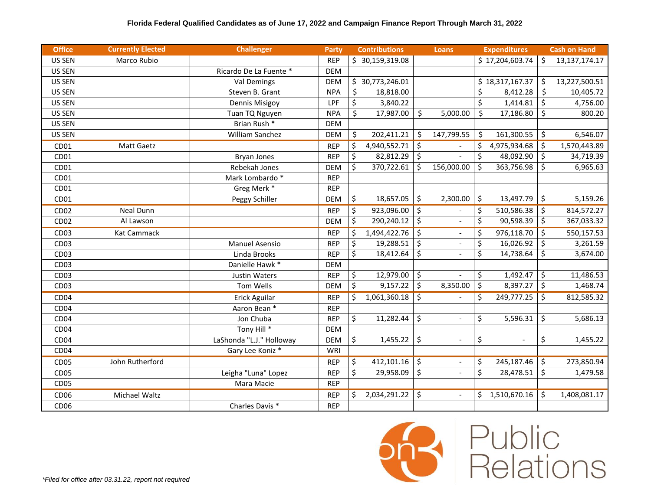| <b>Office</b>    | <b>Currently Elected</b> | <b>Challenger</b>        | <b>Party</b> | <b>Contributions</b> |                 |                        | <b>Loans</b>             |                         | <b>Expenditures</b> |         | <b>Cash on Hand</b> |
|------------------|--------------------------|--------------------------|--------------|----------------------|-----------------|------------------------|--------------------------|-------------------------|---------------------|---------|---------------------|
| US SEN           | Marco Rubio              |                          | <b>REP</b>   |                      | \$30,159,319.08 |                        |                          |                         | \$17,204,603.74     | Ś.      | 13,137,174.17       |
| US SEN           |                          | Ricardo De La Fuente *   | <b>DEM</b>   |                      |                 |                        |                          |                         |                     |         |                     |
| US SEN           |                          | <b>Val Demings</b>       | <b>DEM</b>   |                      | \$30,773,246.01 |                        |                          |                         | \$18,317,167.37     | \$      | 13,227,500.51       |
| US SEN           |                          | Steven B. Grant          | <b>NPA</b>   | \$                   | 18,818.00       |                        |                          | \$                      | 8,412.28            | \$      | 10,405.72           |
| US SEN           |                          | Dennis Misigoy           | LPF          | \$                   | 3,840.22        |                        |                          | $\overline{\xi}$        | 1,414.81            | \$      | 4,756.00            |
| US SEN           |                          | Tuan TQ Nguyen           | <b>NPA</b>   | \$                   | 17,987.00       | \$                     | 5,000.00                 | \$                      | 17,186.80           | \$      | 800.20              |
| US SEN           |                          | Brian Rush *             | <b>DEM</b>   |                      |                 |                        |                          |                         |                     |         |                     |
| US SEN           |                          | William Sanchez          | <b>DEM</b>   | \$                   | 202,411.21      | \$                     | 147,799.55               | Š.                      | 161,300.55          | \$      | 6,546.07            |
| CD01             | Matt Gaetz               |                          | <b>REP</b>   | \$                   | 4,940,552.71    | \$                     |                          | \$                      | 4,975,934.68        | \$      | 1,570,443.89        |
| CD01             |                          | <b>Bryan Jones</b>       | <b>REP</b>   | \$                   | 82,812.29       | \$                     |                          | \$                      | 48,092.90           | \$      | 34,719.39           |
| CD01             |                          | Rebekah Jones            | <b>DEM</b>   | \$                   | 370,722.61      | \$                     | 156,000.00               | \$                      | 363,756.98          | \$      | 6,965.63            |
| CD01             |                          | Mark Lombardo *          | <b>REP</b>   |                      |                 |                        |                          |                         |                     |         |                     |
| CD01             |                          | Greg Merk*               | <b>REP</b>   |                      |                 |                        |                          |                         |                     |         |                     |
| CD01             |                          | Peggy Schiller           | <b>DEM</b>   | \$                   | 18,657.05       | \$                     | 2,300.00                 | \$                      | 13,497.79           | \$      | 5,159.26            |
| CD <sub>02</sub> | <b>Neal Dunn</b>         |                          | <b>REP</b>   | \$                   | 923,096.00      | \$                     | $\overline{\phantom{a}}$ | \$                      | 510,586.38          | \$      | 814,572.27          |
| CD <sub>02</sub> | Al Lawson                |                          | <b>DEM</b>   | \$                   | 290,240.12      | \$                     |                          | \$                      | 90,598.39           | \$      | 367,033.32          |
| CD <sub>03</sub> | <b>Kat Cammack</b>       |                          | <b>REP</b>   | \$                   | 1,494,422.76    | $\overline{\varsigma}$ | $\overline{\phantom{a}}$ | \$                      | 976,118.70          | $\zeta$ | 550,157.53          |
| CD <sub>03</sub> |                          | <b>Manuel Asensio</b>    | <b>REP</b>   | \$                   | 19,288.51       | $\overline{\xi}$       | $\overline{a}$           | \$                      | 16,026.92           | \$      | 3,261.59            |
| CD <sub>03</sub> |                          | Linda Brooks             | <b>REP</b>   | \$                   | 18,412.64       | $\overline{\xi}$       | $\Box$                   | $\overline{\mathsf{S}}$ | 14,738.64           | \$      | 3,674.00            |
| CD <sub>03</sub> |                          | Danielle Hawk *          | <b>DEM</b>   |                      |                 |                        |                          |                         |                     |         |                     |
| CD <sub>03</sub> |                          | <b>Justin Waters</b>     | <b>REP</b>   | \$                   | 12,979.00       | \$                     |                          | \$                      | 1,492.47            | \$      | 11,486.53           |
| CD <sub>03</sub> |                          | Tom Wells                | <b>DEM</b>   | \$                   | 9,157.22        | \$                     | 8,350.00                 | \$                      | 8,397.27            | \$      | 1,468.74            |
| CD <sub>04</sub> |                          | Erick Aguilar            | <b>REP</b>   | \$                   | 1,061,360.18    | \$                     |                          | \$                      | 249,777.25          | \$      | 812,585.32          |
| CD <sub>04</sub> |                          | Aaron Bean *             | <b>REP</b>   |                      |                 |                        |                          |                         |                     |         |                     |
| CD <sub>04</sub> |                          | Jon Chuba                | <b>REP</b>   | \$                   | 11,282.44       | \$                     | $\frac{1}{2}$            | \$                      | 5,596.31            | \$      | 5,686.13            |
| CD <sub>04</sub> |                          | Tony Hill $*$            | <b>DEM</b>   |                      |                 |                        |                          |                         |                     |         |                     |
| CD <sub>04</sub> |                          | LaShonda "L.J." Holloway | <b>DEM</b>   | \$                   | 1,455.22        | \$                     | $\overline{\phantom{a}}$ | \$                      | $\overline{a}$      | \$      | 1,455.22            |
| CD <sub>04</sub> |                          | Gary Lee Koniz *         | WRI          |                      |                 |                        |                          |                         |                     |         |                     |
| CD <sub>05</sub> | John Rutherford          |                          | <b>REP</b>   | \$                   | 412,101.16      | \$                     | $\overline{\phantom{a}}$ | \$                      | 245,187.46          | \$      | 273,850.94          |
| CD <sub>05</sub> |                          | Leigha "Luna" Lopez      | <b>REP</b>   | \$                   | 29,958.09       | $\zeta$                | $\Box$                   | \$                      | 28,478.51           | \$      | 1,479.58            |
| CD <sub>05</sub> |                          | Mara Macie               | <b>REP</b>   |                      |                 |                        |                          |                         |                     |         |                     |
| CD <sub>06</sub> | Michael Waltz            |                          | <b>REP</b>   | \$                   | 2,034,291.22    | \$                     | $\overline{\phantom{a}}$ | \$                      | 1,510,670.16        | \$      | 1,408,081.17        |
| CD <sub>06</sub> |                          | Charles Davis *          | <b>REP</b>   |                      |                 |                        |                          |                         |                     |         |                     |



**Public**<br>Relations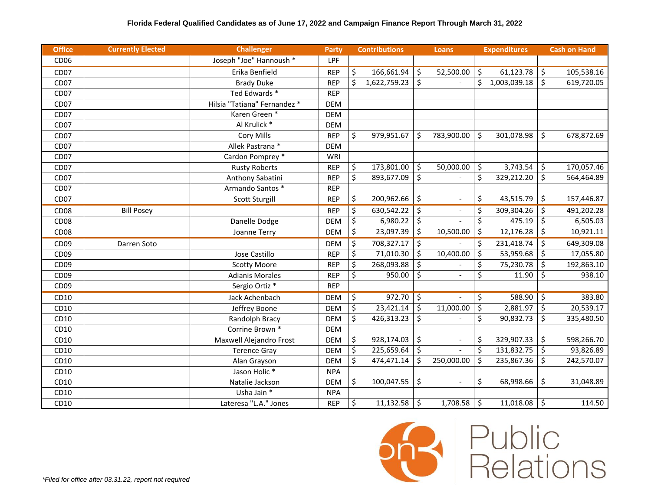| <b>Office</b>    | <b>Currently Elected</b> | <b>Challenger</b>            | <b>Party</b> | <b>Contributions</b> |              |                                 | <b>Loans</b>             |                     | <b>Expenditures</b> |                        | <b>Cash on Hand</b> |
|------------------|--------------------------|------------------------------|--------------|----------------------|--------------|---------------------------------|--------------------------|---------------------|---------------------|------------------------|---------------------|
| CD <sub>06</sub> |                          | Joseph "Joe" Hannoush *      | <b>LPF</b>   |                      |              |                                 |                          |                     |                     |                        |                     |
| CD <sub>07</sub> |                          | Erika Benfield               | <b>REP</b>   | \$                   | 166,661.94   | \$                              | 52,500.00                | \$                  | 61,123.78           | \$                     | 105,538.16          |
| CD <sub>07</sub> |                          | <b>Brady Duke</b>            | <b>REP</b>   | \$                   | 1,622,759.23 | \$                              |                          | \$                  | 1,003,039.18        | \$                     | 619,720.05          |
| CD <sub>07</sub> |                          | Ted Edwards *                | <b>REP</b>   |                      |              |                                 |                          |                     |                     |                        |                     |
| CD <sub>07</sub> |                          | Hilsia "Tatiana" Fernandez * | <b>DEM</b>   |                      |              |                                 |                          |                     |                     |                        |                     |
| CD <sub>07</sub> |                          | Karen Green *                | <b>DEM</b>   |                      |              |                                 |                          |                     |                     |                        |                     |
| CD <sub>07</sub> |                          | Al Krulick *                 | <b>DEM</b>   |                      |              |                                 |                          |                     |                     |                        |                     |
| CD <sub>07</sub> |                          | <b>Cory Mills</b>            | <b>REP</b>   | \$                   | 979,951.67   | Ŝ                               | 783,900.00               | -\$                 | 301,078.98          | \$                     | 678,872.69          |
| CD <sub>07</sub> |                          | Allek Pastrana *             | <b>DEM</b>   |                      |              |                                 |                          |                     |                     |                        |                     |
| CD <sub>07</sub> |                          | Cardon Pomprey *             | WRI          |                      |              |                                 |                          |                     |                     |                        |                     |
| CD <sub>07</sub> |                          | <b>Rusty Roberts</b>         | <b>REP</b>   | \$                   | 173,801.00   | \$                              | 50,000.00                | \$                  | 3,743.54            | \$                     | 170,057.46          |
| CD <sub>07</sub> |                          | Anthony Sabatini             | <b>REP</b>   | \$                   | 893,677.09   | \$                              |                          | \$                  | 329,212.20          | \$                     | 564,464.89          |
| CD <sub>07</sub> |                          | Armando Santos *             | <b>REP</b>   |                      |              |                                 |                          |                     |                     |                        |                     |
| CD <sub>07</sub> |                          | <b>Scott Sturgill</b>        | <b>REP</b>   | \$                   | 200,962.66   | \$                              | $\overline{\phantom{a}}$ | \$                  | 43,515.79           | \$                     | 157,446.87          |
| CD <sub>08</sub> | <b>Bill Posey</b>        |                              | <b>REP</b>   | \$                   | 630,542.22   | \$                              |                          | \$                  | 309,304.26          | \$                     | 491,202.28          |
| CD <sub>08</sub> |                          | Danelle Dodge                | <b>DEM</b>   | \$                   | 6,980.22     | \$                              |                          | \$                  | 475.19              | \$                     | 6,505.03            |
| CD <sub>08</sub> |                          | Joanne Terry                 | <b>DEM</b>   | \$                   | 23,097.39    | \$                              | 10,500.00                | \$                  | 12,176.28           | \$                     | 10,921.11           |
| CD <sub>09</sub> | Darren Soto              |                              | <b>DEM</b>   | \$                   | 708,327.17   | $\overline{\varsigma}$          |                          | \$                  | 231,418.74          | \$                     | 649,309.08          |
| CD <sub>09</sub> |                          | Jose Castillo                | <b>REP</b>   | \$                   | 71,010.30    | \$                              | 10,400.00                | \$                  | 53,959.68           | \$                     | 17,055.80           |
| CD <sub>09</sub> |                          | <b>Scotty Moore</b>          | <b>REP</b>   | \$                   | 268,093.88   | \$                              |                          | \$                  | 75,230.78           | $\overline{\varsigma}$ | 192,863.10          |
| CD <sub>09</sub> |                          | <b>Adianis Morales</b>       | <b>REP</b>   | \$                   | 950.00       | \$                              |                          | \$                  | 11.90               | \$                     | 938.10              |
| CD <sub>09</sub> |                          | Sergio Ortiz *               | <b>REP</b>   |                      |              |                                 |                          |                     |                     |                        |                     |
| CD10             |                          | Jack Achenbach               | <b>DEM</b>   | \$                   | 972.70       | $\boldsymbol{\mathsf{\dot{S}}}$ |                          | \$                  | 588.90              | \$                     | 383.80              |
| CD10             |                          | Jeffrey Boone                | <b>DEM</b>   | \$                   | 23,421.14    | \$                              | 11,000.00                | \$                  | 2,881.97            | \$                     | 20,539.17           |
| CD10             |                          | Randolph Bracy               | <b>DEM</b>   | \$                   | 426,313.23   | \$                              |                          | \$                  | 90,832.73           | \$                     | 335,480.50          |
| CD10             |                          | Corrine Brown *              | <b>DEM</b>   |                      |              |                                 |                          |                     |                     |                        |                     |
| CD10             |                          | Maxwell Alejandro Frost      | <b>DEM</b>   | \$                   | 928,174.03   | \$                              | $\overline{\phantom{a}}$ | \$                  | 329,907.33          | \$                     | 598,266.70          |
| CD10             |                          | <b>Terence Gray</b>          | <b>DEM</b>   | \$                   | 225,659.64   | $\overline{\mathsf{S}}$         | $\overline{a}$           | \$                  | 131,832.75          | \$                     | 93,826.89           |
| CD10             |                          | Alan Grayson                 | <b>DEM</b>   | \$                   | 474,471.14   | \$                              | 250,000.00               | Š.                  | 235,867.36          | \$                     | 242,570.07          |
| CD10             |                          | Jason Holic*                 | <b>NPA</b>   |                      |              |                                 |                          |                     |                     |                        |                     |
| CD10             |                          | Natalie Jackson              | <b>DEM</b>   | \$                   | 100,047.55   | Ś.                              | $\blacksquare$           | Ś.                  | 68,998.66           | \$                     | 31,048.89           |
| CD10             |                          | Usha Jain *                  | <b>NPA</b>   |                      |              |                                 |                          |                     |                     |                        |                     |
| CD10             |                          | Lateresa "L.A." Jones        | <b>REP</b>   | \$                   | 11,132.58    | $\ddot{\mathsf{S}}$             | 1,708.58                 | $\ddot{\mathsf{S}}$ | 11,018.08           | \$                     | 114.50              |



**Public**<br>Relations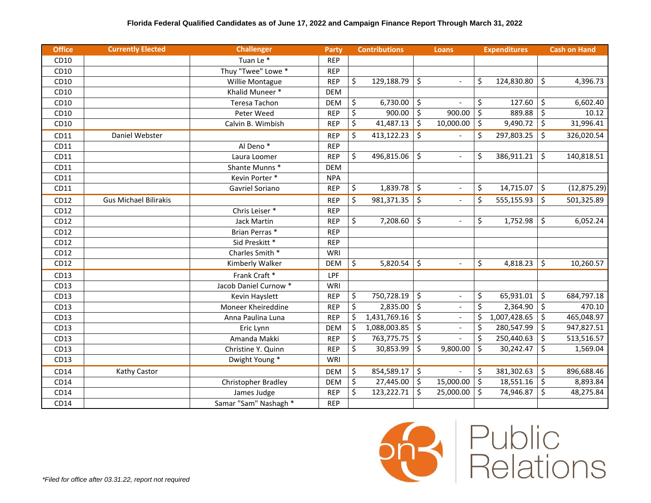| <b>Office</b> | <b>Currently Elected</b>     | <b>Challenger</b>     | <b>Party</b> | <b>Contributions</b> |              |                         | <b>Loans</b>             |                         | <b>Expenditures</b> | <b>Cash on Hand</b> |
|---------------|------------------------------|-----------------------|--------------|----------------------|--------------|-------------------------|--------------------------|-------------------------|---------------------|---------------------|
| CD10          |                              | Tuan Le *             | <b>REP</b>   |                      |              |                         |                          |                         |                     |                     |
| CD10          |                              | Thuy "Twee" Lowe *    | <b>REP</b>   |                      |              |                         |                          |                         |                     |                     |
| CD10          |                              | Willie Montague       | <b>REP</b>   | \$                   | 129,188.79   | \$                      | $\blacksquare$           | \$                      | 124,830.80          | \$<br>4,396.73      |
| CD10          |                              | Khalid Muneer *       | <b>DEM</b>   |                      |              |                         |                          |                         |                     |                     |
| CD10          |                              | <b>Teresa Tachon</b>  | <b>DEM</b>   | \$                   | 6,730.00     | \$                      |                          | \$                      | 127.60              | \$<br>6,602.40      |
| CD10          |                              | Peter Weed            | <b>REP</b>   | \$                   | 900.00       | $\overline{\xi}$        | 900.00                   | $\overline{\xi}$        | 889.88              | \$<br>10.12         |
| CD10          |                              | Calvin B. Wimbish     | <b>REP</b>   | \$                   | 41,487.13    | \$                      | 10,000.00                | \$                      | 9,490.72            | \$<br>31,996.41     |
| CD11          | Daniel Webster               |                       | <b>REP</b>   | \$                   | 413,122.23   | $\zeta$                 | $\overline{a}$           | \$                      | 297,803.25          | \$<br>326,020.54    |
| CD11          |                              | Al Deno <sup>*</sup>  | <b>REP</b>   |                      |              |                         |                          |                         |                     |                     |
| CD11          |                              | Laura Loomer          | <b>REP</b>   | \$                   | 496,815.06   | \$                      | $\overline{a}$           | \$                      | 386,911.21          | \$<br>140,818.51    |
| CD11          |                              | Shante Munns*         | <b>DEM</b>   |                      |              |                         |                          |                         |                     |                     |
| CD11          |                              | Kevin Porter *        | <b>NPA</b>   |                      |              |                         |                          |                         |                     |                     |
| CD11          |                              | Gavriel Soriano       | <b>REP</b>   | \$                   | 1,839.78     | \$                      | $\overline{\phantom{a}}$ | \$                      | 14,715.07           | \$<br>(12, 875.29)  |
| CD12          | <b>Gus Michael Bilirakis</b> |                       | <b>REP</b>   | \$                   | 981,371.35   | \$                      | $\omega$                 | \$                      | 555,155.93          | \$<br>501,325.89    |
| CD12          |                              | Chris Leiser *        | <b>REP</b>   |                      |              |                         |                          |                         |                     |                     |
| CD12          |                              | <b>Jack Martin</b>    | <b>REP</b>   | \$                   | 7,208.60     | \$                      | $\sim$                   | \$                      | 1,752.98            | \$<br>6,052.24      |
| CD12          |                              | Brian Perras*         | <b>REP</b>   |                      |              |                         |                          |                         |                     |                     |
| CD12          |                              | Sid Preskitt *        | <b>REP</b>   |                      |              |                         |                          |                         |                     |                     |
| CD12          |                              | Charles Smith *       | <b>WRI</b>   |                      |              |                         |                          |                         |                     |                     |
| CD12          |                              | Kimberly Walker       | <b>DEM</b>   | \$                   | 5,820.54     | $\overline{\mathsf{S}}$ | $\blacksquare$           | $\overline{\mathsf{S}}$ | 4,818.23            | \$<br>10,260.57     |
| CD13          |                              | Frank Craft *         | LPF          |                      |              |                         |                          |                         |                     |                     |
| CD13          |                              | Jacob Daniel Curnow * | <b>WRI</b>   |                      |              |                         |                          |                         |                     |                     |
| CD13          |                              | Kevin Hayslett        | <b>REP</b>   | \$                   | 750,728.19   | \$                      | $\overline{\phantom{a}}$ | \$                      | 65,931.01           | \$<br>684,797.18    |
| CD13          |                              | Moneer Kheireddine    | <b>REP</b>   | \$                   | 2,835.00     | $\overline{\xi}$        | $\blacksquare$           | $\overline{\mathsf{S}}$ | 2,364.90            | \$<br>470.10        |
| CD13          |                              | Anna Paulina Luna     | <b>REP</b>   | \$                   | 1,431,769.16 | \$                      | $\equiv$                 | \$                      | 1,007,428.65        | \$<br>465,048.97    |
| CD13          |                              | Eric Lynn             | <b>DEM</b>   | \$                   | 1,088,003.85 | \$                      | $\sim$                   | \$                      | 280,547.99          | \$<br>947,827.51    |
| CD13          |                              | Amanda Makki          | <b>REP</b>   | \$                   | 763,775.75   | $\overline{\xi}$        |                          | \$                      | 250,440.63          | \$<br>513,516.57    |
| CD13          |                              | Christine Y. Quinn    | <b>REP</b>   | \$                   | 30,853.99    | \$                      | 9,800.00                 | \$                      | 30,242.47           | \$<br>1,569.04      |
| CD13          |                              | Dwight Young *        | <b>WRI</b>   |                      |              |                         |                          |                         |                     |                     |
| CD14          | Kathy Castor                 |                       | <b>DEM</b>   | \$                   | 854,589.17   | \$                      | $\overline{a}$           | \$                      | 381,302.63          | \$<br>896,688.46    |
| CD14          |                              | Christopher Bradley   | <b>DEM</b>   | \$                   | 27,445.00    | \$                      | 15,000.00                | \$                      | 18,551.16           | \$<br>8,893.84      |
| CD14          |                              | James Judge           | <b>REP</b>   | \$                   | 123,222.71   | \$                      | 25,000.00                | \$                      | 74,946.87           | \$<br>48,275.84     |
| CD14          |                              | Samar "Sam" Nashagh * | <b>REP</b>   |                      |              |                         |                          |                         |                     |                     |

*\*Filed for office after 03.31.22, report not required*

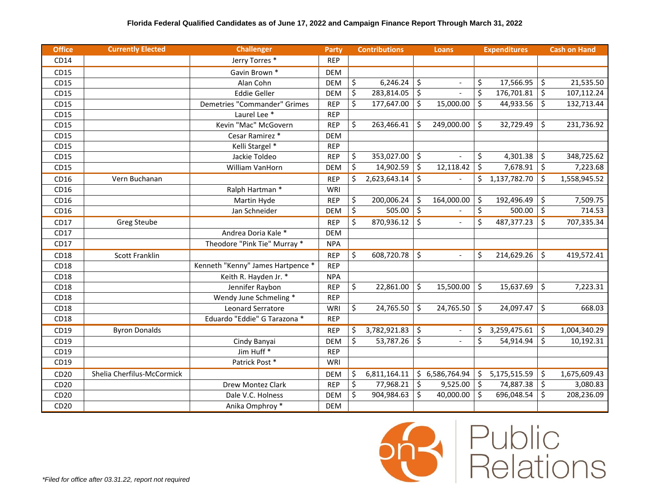| <b>Office</b> | <b>Currently Elected</b>   | <b>Challenger</b>                 | <b>Party</b> | <b>Contributions</b>    |                        | Loans                    |    | <b>Expenditures</b> | <b>Cash on Hand</b> |
|---------------|----------------------------|-----------------------------------|--------------|-------------------------|------------------------|--------------------------|----|---------------------|---------------------|
| CD14          |                            | Jerry Torres *                    | <b>REP</b>   |                         |                        |                          |    |                     |                     |
| CD15          |                            | Gavin Brown *                     | <b>DEM</b>   |                         |                        |                          |    |                     |                     |
| CD15          |                            | Alan Cohn                         | <b>DEM</b>   | \$<br>6,246.24          | \$                     |                          | \$ | 17,566.95           | \$<br>21,535.50     |
| CD15          |                            | Eddie Geller                      | <b>DEM</b>   | \$<br>$283,814.05$ \$   |                        |                          | \$ | 176,701.81          | \$<br>107,112.24    |
| CD15          |                            | Demetries "Commander" Grimes      | <b>REP</b>   | \$<br>177,647.00        | \$                     | 15,000.00                | \$ | 44,933.56           | \$<br>132,713.44    |
| CD15          |                            | Laurel Lee <sup>*</sup>           | <b>REP</b>   |                         |                        |                          |    |                     |                     |
| CD15          |                            | Kevin "Mac" McGovern              | <b>REP</b>   | \$<br>263,466.41        | Ś.                     | 249,000.00               | \$ | 32,729.49           | \$<br>231,736.92    |
| CD15          |                            | Cesar Ramirez *                   | <b>DEM</b>   |                         |                        |                          |    |                     |                     |
| CD15          |                            | Kelli Stargel *                   | <b>REP</b>   |                         |                        |                          |    |                     |                     |
| CD15          |                            | Jackie Toldeo                     | <b>REP</b>   | \$<br>353,027.00 \$     |                        |                          | \$ | 4,301.38            | \$<br>348,725.62    |
| CD15          |                            | William VanHorn                   | <b>DEM</b>   | \$<br>14,902.59         | \$                     | 12,118.42                | \$ | 7,678.91            | \$<br>7,223.68      |
| CD16          | Vern Buchanan              |                                   | <b>REP</b>   | \$<br>2,623,643.14      | $\zeta$                |                          | \$ | 1,137,782.70        | \$<br>1,558,945.52  |
| CD16          |                            | Ralph Hartman *                   | <b>WRI</b>   |                         |                        |                          |    |                     |                     |
| CD16          |                            | Martin Hyde                       | <b>REP</b>   | \$<br>200,006.24        | \$                     | 164,000.00               | \$ | 192,496.49          | \$<br>7,509.75      |
| CD16          |                            | Jan Schneider                     | <b>DEM</b>   | \$<br>$505.00$ \$       |                        |                          | \$ | 500.00              | \$<br>714.53        |
| CD17          | <b>Greg Steube</b>         |                                   | <b>REP</b>   | \$<br>870,936.12        | \$                     |                          | \$ | 487,377.23          | \$<br>707,335.34    |
| CD17          |                            | Andrea Doria Kale *               | <b>DEM</b>   |                         |                        |                          |    |                     |                     |
| CD17          |                            | Theodore "Pink Tie" Murray *      | <b>NPA</b>   |                         |                        |                          |    |                     |                     |
| CD18          | <b>Scott Franklin</b>      |                                   | <b>REP</b>   | \$<br>608,720.78        | $\zeta$                |                          | \$ | 214,629.26          | \$<br>419,572.41    |
| CD18          |                            | Kenneth "Kenny" James Hartpence * | <b>REP</b>   |                         |                        |                          |    |                     |                     |
| CD18          |                            | Keith R. Hayden Jr. *             | <b>NPA</b>   |                         |                        |                          |    |                     |                     |
| CD18          |                            | Jennifer Raybon                   | <b>REP</b>   | \$<br>22,861.00         | Ś.                     | 15,500.00                | \$ | 15,637.69           | \$<br>7,223.31      |
| CD18          |                            | Wendy June Schmeling *            | <b>REP</b>   |                         |                        |                          |    |                     |                     |
| CD18          |                            | Leonard Serratore                 | WRI          | \$<br>24,765.50         | \$                     | 24,765.50                | \$ | 24,097.47           | \$<br>668.03        |
| CD18          |                            | Eduardo "Eddie" G Tarazona *      | <b>REP</b>   |                         |                        |                          |    |                     |                     |
| CD19          | <b>Byron Donalds</b>       |                                   | <b>REP</b>   | \$<br>$3,782,921.83$ \$ |                        | $\overline{\phantom{a}}$ | \$ | 3,259,475.61        | \$<br>1,004,340.29  |
| CD19          |                            | Cindy Banyai                      | <b>DEM</b>   | \$<br>53,787.26         | $\overline{\varsigma}$ |                          | \$ | 54,914.94           | \$<br>10,192.31     |
| CD19          |                            | Jim Huff <sup>*</sup>             | <b>REP</b>   |                         |                        |                          |    |                     |                     |
| CD19          |                            | Patrick Post*                     | WRI          |                         |                        |                          |    |                     |                     |
| CD20          | Shelia Cherfilus-McCormick |                                   | <b>DEM</b>   | \$<br>6,811,164.11      |                        | \$6,586,764.94           | \$ | 5,175,515.59        | \$<br>1,675,609.43  |
| CD20          |                            | Drew Montez Clark                 | <b>REP</b>   | \$<br>77,968.21         | \$                     | 9,525.00                 | \$ | 74,887.38           | \$<br>3,080.83      |
| CD20          |                            | Dale V.C. Holness                 | <b>DEM</b>   | \$<br>904,984.63        | \$                     | 40,000.00                | Ś. | 696,048.54          | \$<br>208,236.09    |
| CD20          |                            | Anika Omphroy *                   | <b>DEM</b>   |                         |                        |                          |    |                     |                     |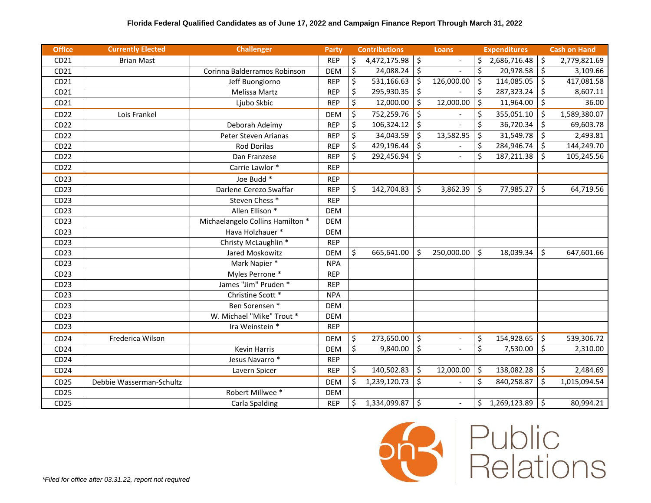| <b>Office</b>    | <b>Currently Elected</b> | <b>Challenger</b>                | <b>Party</b> |         | <b>Contributions</b> |                         | <b>Loans</b>             |    | <b>Expenditures</b> |                     | <b>Cash on Hand</b> |
|------------------|--------------------------|----------------------------------|--------------|---------|----------------------|-------------------------|--------------------------|----|---------------------|---------------------|---------------------|
| CD21             | <b>Brian Mast</b>        |                                  | <b>REP</b>   | \$      | 4,472,175.98         | \$                      | $\blacksquare$           | \$ | 2,686,716.48        | -\$                 | 2,779,821.69        |
| CD21             |                          | Corinna Balderramos Robinson     | <b>DEM</b>   | \$      | 24,088.24            | \$                      | $\overline{a}$           | \$ | $20,978.58$ \$      |                     | 3,109.66            |
| CD21             |                          | Jeff Buongiorno                  | <b>REP</b>   | \$      | 531,166.63           | \$                      | 126,000.00               | \$ | 114,085.05          | \$                  | 417,081.58          |
| CD21             |                          | Melissa Martz                    | <b>REP</b>   | \$      | 295,930.35           | \$                      |                          | \$ | 287,323.24          | \$                  | 8,607.11            |
| CD21             |                          | Ljubo Skbic                      | <b>REP</b>   | \$      | 12,000.00            | $\overline{\mathsf{S}}$ | 12,000.00                | \$ | 11,964.00           | $\ddot{\mathsf{s}}$ | 36.00               |
| CD22             | Lois Frankel             |                                  | <b>DEM</b>   | \$      | 752,259.76           | \$                      | $\overline{\phantom{0}}$ | \$ | 355,051.10          | $\mathsf{\dot{S}}$  | 1,589,380.07        |
| CD22             |                          | Deborah Adeimy                   | <b>REP</b>   | \$      | 106,324.12           | \$                      |                          | \$ | 36,720.34           | $\zeta$             | 69,603.78           |
| CD22             |                          | Peter Steven Arianas             | <b>REP</b>   | \$      | 34,043.59            | $\zeta$                 | 13,582.95                | \$ | $31,549.78$ \$      |                     | 2,493.81            |
| CD <sub>22</sub> |                          | <b>Rod Dorilas</b>               | <b>REP</b>   | \$      | 429,196.44           | \$                      |                          | \$ | 284,946.74          | \$                  | 144,249.70          |
| CD22             |                          | Dan Franzese                     | <b>REP</b>   | $\zeta$ | 292,456.94           | \$                      |                          | \$ | 187,211.38          | $\mathsf{\hat{S}}$  | 105,245.56          |
| CD <sub>22</sub> |                          | Carrie Lawlor *                  | <b>REP</b>   |         |                      |                         |                          |    |                     |                     |                     |
| CD23             |                          | Joe Budd *                       | <b>REP</b>   |         |                      |                         |                          |    |                     |                     |                     |
| CD <sub>23</sub> |                          | Darlene Cerezo Swaffar           | <b>REP</b>   | \$      | 142,704.83           | \$                      | 3,862.39                 | \$ | 77,985.27           | \$                  | 64,719.56           |
| CD23             |                          | Steven Chess <sup>*</sup>        | <b>REP</b>   |         |                      |                         |                          |    |                     |                     |                     |
| CD <sub>23</sub> |                          | Allen Ellison *                  | <b>DEM</b>   |         |                      |                         |                          |    |                     |                     |                     |
| CD23             |                          | Michaelangelo Collins Hamilton * | <b>DEM</b>   |         |                      |                         |                          |    |                     |                     |                     |
| CD <sub>23</sub> |                          | Hava Holzhauer *                 | <b>DEM</b>   |         |                      |                         |                          |    |                     |                     |                     |
| CD <sub>23</sub> |                          | Christy McLaughlin *             | <b>REP</b>   |         |                      |                         |                          |    |                     |                     |                     |
| CD <sub>23</sub> |                          | Jared Moskowitz                  | <b>DEM</b>   | \$      | 665,641.00           | Ŝ.                      | 250,000.00               | \$ | 18,039.34           | \$                  | 647,601.66          |
| CD <sub>23</sub> |                          | Mark Napier *                    | <b>NPA</b>   |         |                      |                         |                          |    |                     |                     |                     |
| CD <sub>23</sub> |                          | Myles Perrone *                  | <b>REP</b>   |         |                      |                         |                          |    |                     |                     |                     |
| CD <sub>23</sub> |                          | James "Jim" Pruden *             | <b>REP</b>   |         |                      |                         |                          |    |                     |                     |                     |
| CD <sub>23</sub> |                          | Christine Scott *                | <b>NPA</b>   |         |                      |                         |                          |    |                     |                     |                     |
| CD23             |                          | Ben Sorensen *                   | <b>DEM</b>   |         |                      |                         |                          |    |                     |                     |                     |
| CD <sub>23</sub> |                          | W. Michael "Mike" Trout *        | <b>DEM</b>   |         |                      |                         |                          |    |                     |                     |                     |
| CD <sub>23</sub> |                          | Ira Weinstein *                  | <b>REP</b>   |         |                      |                         |                          |    |                     |                     |                     |
| CD24             | Frederica Wilson         |                                  | <b>DEM</b>   | \$      | 273,650.00           | \$                      | $\overline{\phantom{a}}$ | \$ | 154,928.65          | $\ddot{\mathsf{S}}$ | 539,306.72          |
| CD24             |                          | <b>Kevin Harris</b>              | <b>DEM</b>   | \$      | 9,840.00             | \$                      | $\overline{a}$           | \$ | 7,530.00            | $\ddot{\mathsf{S}}$ | 2,310.00            |
| CD24             |                          | Jesus Navarro *                  | <b>REP</b>   |         |                      |                         |                          |    |                     |                     |                     |
| CD24             |                          | Lavern Spicer                    | <b>REP</b>   | \$      | 140,502.83           | \$                      | 12,000.00                | \$ | 138,082.28          | $\ddot{\mathsf{S}}$ | 2,484.69            |
| CD25             | Debbie Wasserman-Schultz |                                  | <b>DEM</b>   | \$      | 1,239,120.73         | \$                      |                          | Ś  | 840,258.87          | $\zeta$             | 1,015,094.54        |
| CD25             |                          | Robert Millwee <sup>*</sup>      | <b>DEM</b>   |         |                      |                         |                          |    |                     |                     |                     |
| CD25             |                          | Carla Spalding                   | <b>REP</b>   | \$      | 1,334,099.87         | \$                      | $\overline{\phantom{a}}$ | \$ | 1,269,123.89        | \$                  | 80,994.21           |



**Public**<br>Relations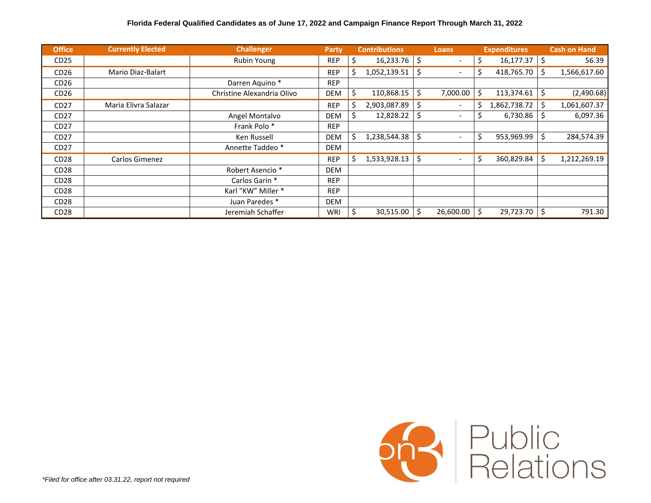| <b>Office</b>    | <b>Currently Elected</b> | <b>Challenger</b>           | <b>Party</b> |    | <b>Contributions</b> | <b>Loans</b>                   |     | <b>Expenditures</b> |     | <b>Cash on Hand</b> |
|------------------|--------------------------|-----------------------------|--------------|----|----------------------|--------------------------------|-----|---------------------|-----|---------------------|
| CD <sub>25</sub> |                          | <b>Rubin Young</b>          | <b>REP</b>   | \$ | $16,233.76$ \$       |                                | \$  | 16,177.37           | Ŝ.  | 56.39               |
| CD <sub>26</sub> | Mario Diaz-Balart        |                             | <b>REP</b>   | \$ | 1,052,139.51         | \$<br>$\overline{\phantom{a}}$ | \$. | 418,765.70          | \$  | 1,566,617.60        |
| CD <sub>26</sub> |                          | Darren Aquino*              | <b>REP</b>   |    |                      |                                |     |                     |     |                     |
| CD <sub>26</sub> |                          | Christine Alexandria Olivo  | <b>DEM</b>   | Ś. | 110,868.15           | \$<br>7,000.00                 | Ś.  | 113,374.61          | \$  | (2,490.68)          |
| CD <sub>27</sub> | Maria Elivra Salazar     |                             | <b>REP</b>   | \$ | 2,903,087.89         | \$                             | Ś.  | 1,862,738.72        | \$  | 1,061,607.37        |
| CD27             |                          | Angel Montalvo              | <b>DEM</b>   |    | 12,828.22            | $\overline{\phantom{a}}$       |     | 6,730.86            | S   | 6,097.36            |
| CD27             |                          | Frank Polo *                | <b>REP</b>   |    |                      |                                |     |                     |     |                     |
| CD <sub>27</sub> |                          | Ken Russell                 | <b>DEM</b>   | э  | 1,238,544.38         |                                | \$  | 953,969.99          | \$  | 284,574.39          |
| CD <sub>27</sub> |                          | Annette Taddeo *            | <b>DEM</b>   |    |                      |                                |     |                     |     |                     |
| CD <sub>28</sub> | Carlos Gimenez           |                             | <b>REP</b>   | \$ | 1,533,928.13         | \$                             | \$  | 360,829.84          | \$  | 1,212,269.19        |
| CD <sub>28</sub> |                          | Robert Asencio <sup>*</sup> | <b>DEM</b>   |    |                      |                                |     |                     |     |                     |
| CD <sub>28</sub> |                          | Carlos Garin *              | <b>REP</b>   |    |                      |                                |     |                     |     |                     |
| CD <sub>28</sub> |                          | Karl "KW" Miller *          | <b>REP</b>   |    |                      |                                |     |                     |     |                     |
| CD <sub>28</sub> |                          | Juan Paredes *              | <b>DEM</b>   |    |                      |                                |     |                     |     |                     |
| CD <sub>28</sub> |                          | Jeremiah Schaffer           | WRI          |    | 30,515.00            | 26,600.00                      |     | 29,723.70           | \$. | 791.30              |

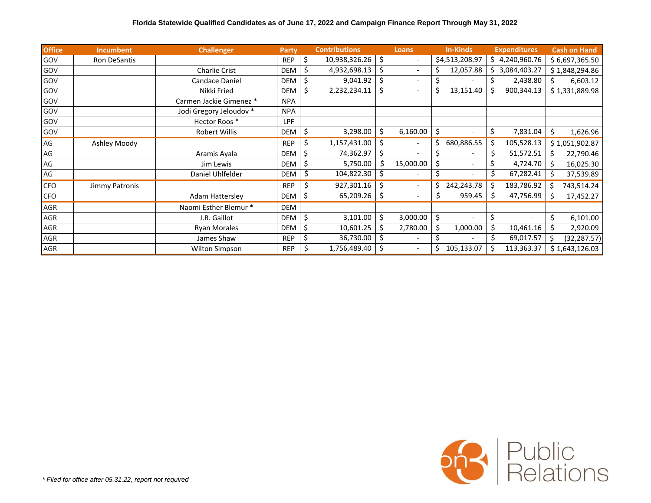| <b>Office</b> | <b>Incumbent</b> | <b>Challenger</b>       | Party      |    | <b>Contributions</b> |    | <b>Loans</b>             |    | <b>In-Kinds</b> |    | <b>Expenditures</b> |    | <b>Cash on Hand</b> |
|---------------|------------------|-------------------------|------------|----|----------------------|----|--------------------------|----|-----------------|----|---------------------|----|---------------------|
| GOV           | Ron DeSantis     |                         | <b>REP</b> | \$ | 10,938,326.26        | Ŝ. | $\overline{\phantom{a}}$ |    | \$4,513,208.97  |    | \$4,240,960.76      |    | \$6,697,365.50      |
| GOV           |                  | <b>Charlie Crist</b>    | <b>DEM</b> | Ś  | 4,932,698.13         | Ś. | $\overline{\phantom{a}}$ |    | 12,057.88       |    | \$3,084,403.27      |    | \$1,848,294.86      |
| GOV           |                  | Candace Daniel          | <b>DEM</b> | \$ | 9,041.92             | \$ | $\overline{\phantom{a}}$ |    |                 |    | 2,438.80            |    | 6,603.12            |
| GOV           |                  | Nikki Fried             | <b>DEM</b> | \$ | 2,232,234.11         | \$ | $\overline{\phantom{a}}$ | S  | 13,151.40       | Ś  | 900,344.13          |    | \$1,331,889.98      |
| GOV           |                  | Carmen Jackie Gimenez * | <b>NPA</b> |    |                      |    |                          |    |                 |    |                     |    |                     |
| GOV           |                  | Jodi Gregory Jeloudov * | <b>NPA</b> |    |                      |    |                          |    |                 |    |                     |    |                     |
| GOV           |                  | Hector Roos *           | <b>LPF</b> |    |                      |    |                          |    |                 |    |                     |    |                     |
| GOV           |                  | <b>Robert Willis</b>    | <b>DEM</b> | \$ | 3,298.00             | Ś. | 6,160.00                 | \$ |                 | \$ | 7,831.04            | \$ | 1,626.96            |
| AG            | Ashley Moody     |                         | <b>REP</b> | \$ | 1,157,431.00         | Ś  | $\overline{\phantom{a}}$ | Ś  | 680,886.55      | \$ | 105,528.13          |    | \$1,051,902.87      |
| AG            |                  | Aramis Ayala            | <b>DEM</b> |    | 74,362.97            |    | $\overline{\phantom{a}}$ |    |                 |    | 51,572.51           |    | 22,790.46           |
| AG            |                  | Jim Lewis               | <b>DEM</b> | S  | 5,750.00             |    | 15,000.00                |    |                 |    | 4,724.70            |    | 16,025.30           |
| AG            |                  | Daniel Uhlfelder        | DEM        | \$ | 104,822.30           |    | $\overline{a}$           | Ś  | ٠               |    | 67,282.41           |    | 37,539.89           |
| <b>CFO</b>    | Jimmy Patronis   |                         | <b>REP</b> | \$ | 927,301.16           | Ŝ  | $\overline{\phantom{a}}$ | Ś  | 242,243.78      | Ś  | 183,786.92          |    | 743,514.24          |
| <b>CFO</b>    |                  | <b>Adam Hattersley</b>  | DEM        | S  | 65,209.26            |    | $\overline{\phantom{a}}$ | Ś  | 959.45          | \$ | 47,756.99           | Ś  | 17,452.27           |
| AGR           |                  | Naomi Esther Blemur *   | DEM        |    |                      |    |                          |    |                 |    |                     |    |                     |
| AGR           |                  | J.R. Gaillot            | DEM        | \$ | 3,101.00             | \$ | 3,000.00                 | \$ | $\overline{a}$  | \$ |                     | \$ | 6,101.00            |
| AGR           |                  | <b>Ryan Morales</b>     | <b>DEM</b> | \$ | 10,601.25            |    | 2,780.00                 |    | 1,000.00        | \$ | 10,461.16           | \$ | 2,920.09            |
| AGR           |                  | James Shaw              | <b>REP</b> |    | 36,730.00            |    | $\overline{\phantom{0}}$ |    |                 |    | 69,017.57           |    | (32, 287.57)        |
| AGR           |                  | Wilton Simpson          | <b>REP</b> |    | 1,756,489.40         |    | $\overline{\phantom{a}}$ |    | 105,133.07      |    | 113,363.37          |    | \$1,643,126.03      |

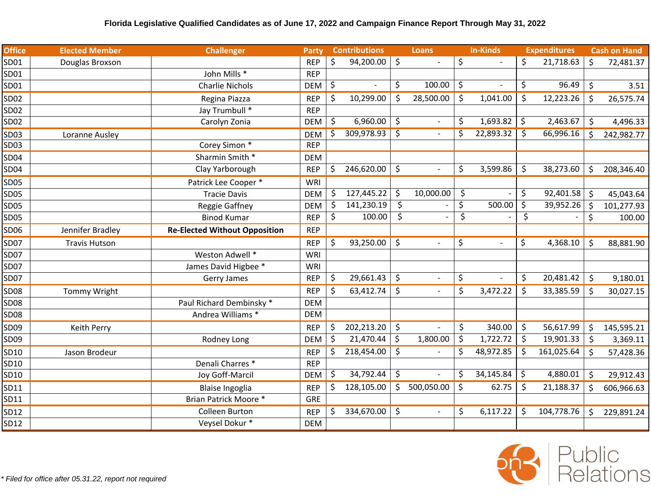| <b>Office</b> | <b>Elected Member</b> | <b>Challenger</b>                    | Party      |    | <b>Contributions</b> |         | Loans                    | <b>In-Kinds</b> |         | <b>Expenditures</b> |         | <b>Cash on Hand</b> |
|---------------|-----------------------|--------------------------------------|------------|----|----------------------|---------|--------------------------|-----------------|---------|---------------------|---------|---------------------|
| SD01          | Douglas Broxson       |                                      | <b>REP</b> | \$ | 94,200.00            | $\zeta$ | $\blacksquare$           | \$              | \$      | 21,718.63           | Ŝ.      | 72,481.37           |
| SD01          |                       | John Mills *                         | <b>REP</b> |    |                      |         |                          |                 |         |                     |         |                     |
| SD01          |                       | <b>Charlie Nichols</b>               | <b>DEM</b> | \$ |                      | \$      | 100.00                   | \$              | \$      | 96.49               | \$      | 3.51                |
| SD02          |                       | Regina Piazza                        | <b>REP</b> | \$ | 10,299.00            | \$      | 28,500.00                | \$<br>1,041.00  | \$      | 12,223.26           | \$      | 26,575.74           |
| SD02          |                       | Jay Trumbull *                       | <b>REP</b> |    |                      |         |                          |                 |         |                     |         |                     |
| SD02          |                       | Carolyn Zonia                        | <b>DEM</b> | \$ | 6,960.00             | \$      |                          | \$<br>1,693.82  | \$      | 2,463.67            | \$      | 4,496.33            |
| SD03          | Loranne Ausley        |                                      | <b>DEM</b> | \$ | 309,978.93           | \$      | $\overline{\phantom{a}}$ | \$<br>22,893.32 | \$      | 66,996.16           | \$      | 242,982.77          |
| SD03          |                       | Corey Simon *                        | <b>REP</b> |    |                      |         |                          |                 |         |                     |         |                     |
| SD04          |                       | Sharmin Smith *                      | <b>DEM</b> |    |                      |         |                          |                 |         |                     |         |                     |
| SD04          |                       | Clay Yarborough                      | <b>REP</b> | \$ | 246,620.00           | \$      | $\overline{\phantom{a}}$ | \$<br>3,599.86  | \$.     | 38,273.60           | \$      | 208,346.40          |
| <b>SD05</b>   |                       | Patrick Lee Cooper *                 | WRI        |    |                      |         |                          |                 |         |                     |         |                     |
| <b>SD05</b>   |                       | <b>Tracie Davis</b>                  | <b>DEM</b> | \$ | 127,445.22           | \$      | 10,000.00                | \$              | \$      | 92,401.58           | \$      | 45,043.64           |
| <b>SD05</b>   |                       | Reggie Gaffney                       | <b>DEM</b> | \$ | 141,230.19           | \$      |                          | \$<br>500.00    | \$      | 39,952.26           | $\zeta$ | 101,277.93          |
| <b>SD05</b>   |                       | <b>Binod Kumar</b>                   | <b>REP</b> | \$ | 100.00               | \$      |                          | \$              | \$      |                     | \$      | 100.00              |
| SD06          | Jennifer Bradley      | <b>Re-Elected Without Opposition</b> | <b>REP</b> |    |                      |         |                          |                 |         |                     |         |                     |
| <b>SD07</b>   | <b>Travis Hutson</b>  |                                      | <b>REP</b> | \$ | 93,250.00            | \$      | $\blacksquare$           | \$              | \$      | 4,368.10            | \$      | 88,881.90           |
| <b>SD07</b>   |                       | Weston Adwell *                      | WRI        |    |                      |         |                          |                 |         |                     |         |                     |
| <b>SD07</b>   |                       | James David Higbee *                 | WRI        |    |                      |         |                          |                 |         |                     |         |                     |
| <b>SD07</b>   |                       | Gerry James                          | <b>REP</b> | \$ | 29,661.43            | \$      | $\overline{\phantom{a}}$ | \$              | \$      | 20,481.42           | \$      | 9,180.01            |
| <b>SD08</b>   | Tommy Wright          |                                      | <b>REP</b> | \$ | 63,412.74            | \$      | $\blacksquare$           | \$<br>3,472.22  | \$      | 33,385.59           | \$      | 30,027.15           |
| <b>SD08</b>   |                       | Paul Richard Dembinsky *             | <b>DEM</b> |    |                      |         |                          |                 |         |                     |         |                     |
| <b>SD08</b>   |                       | Andrea Williams *                    | <b>DEM</b> |    |                      |         |                          |                 |         |                     |         |                     |
| SD09          | Keith Perry           |                                      | <b>REP</b> | \$ | 202,213.20           | \$      |                          | \$<br>340.00    | $\zeta$ | 56,617.99           | \$      | 145,595.21          |
| SD09          |                       | Rodney Long                          | <b>DEM</b> | \$ | 21,470.44            | \$      | 1,800.00                 | \$<br>1,722.72  | \$      | 19,901.33           | \$      | 3,369.11            |
| SD10          | Jason Brodeur         |                                      | <b>REP</b> | \$ | 218,454.00           | $\zeta$ |                          | \$<br>48,972.85 | \$      | 161,025.64          | \$      | 57,428.36           |
| SD10          |                       | Denali Charres *                     | <b>REP</b> |    |                      |         |                          |                 |         |                     |         |                     |
| SD10          |                       | Joy Goff-Marcil                      | <b>DEM</b> | \$ | 34,792.44            | \$      |                          | \$<br>34,145.84 | \$      | 4,880.01            | \$      | 29,912.43           |
| SD11          |                       | Blaise Ingoglia                      | <b>REP</b> | \$ | 128,105.00           | \$      | 500,050.00               | \$<br>62.75     | \$      | 21,188.37           | \$      | 606,966.63          |
| SD11          |                       | Brian Patrick Moore *                | <b>GRE</b> |    |                      |         |                          |                 |         |                     |         |                     |
| SD12          |                       | <b>Colleen Burton</b>                | <b>REP</b> | Ś. | 334,670.00           | \$      | $\overline{\phantom{a}}$ | \$<br>6,117.22  | \$      | 104,778.76          | \$      | 229,891.24          |
| SD12          |                       | Veysel Dokur*                        | <b>DEM</b> |    |                      |         |                          |                 |         |                     |         |                     |

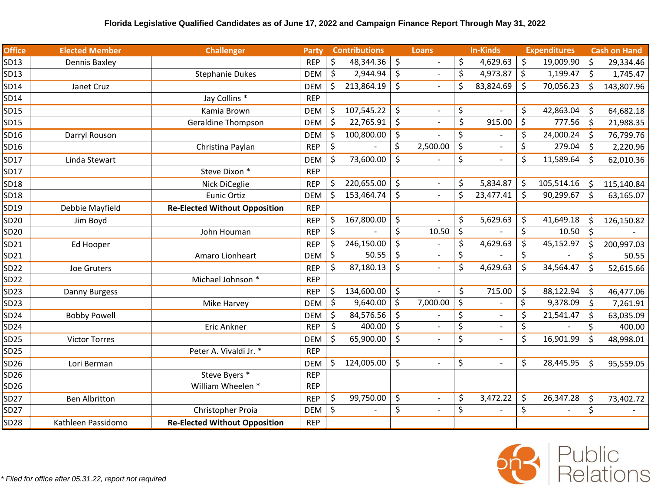| <b>Office</b> | <b>Elected Member</b> | <b>Challenger</b>                    | Party      | <b>Contributions</b> | <b>Loans</b>                   | <b>In-Kinds</b> | <b>Expenditures</b> |         | <b>Cash on Hand</b> |
|---------------|-----------------------|--------------------------------------|------------|----------------------|--------------------------------|-----------------|---------------------|---------|---------------------|
| SD13          | Dennis Baxley         |                                      | <b>REP</b> | \$<br>48,344.36      | \$                             | \$<br>4,629.63  | \$<br>19,009.90     | \$      | 29,334.46           |
| SD13          |                       | <b>Stephanie Dukes</b>               | <b>DEM</b> | \$<br>2,944.94       | \$                             | \$<br>4,973.87  | \$<br>1,199.47      | $\zeta$ | 1,745.47            |
| SD14          | Janet Cruz            |                                      | <b>DEM</b> | \$<br>213,864.19     | \$                             | \$<br>83,824.69 | \$<br>70,056.23     | Ŝ.      | 143,807.96          |
| SD14          |                       | Jay Collins *                        | <b>REP</b> |                      |                                |                 |                     |         |                     |
| SD15          |                       | Kamia Brown                          | <b>DEM</b> | \$<br>107,545.22     | \$                             | \$              | \$<br>42,863.04     | $\zeta$ | 64,682.18           |
| SD15          |                       | <b>Geraldine Thompson</b>            | <b>DEM</b> | \$<br>22,765.91      | \$                             | \$<br>915.00    | \$<br>777.56        | \$      | 21,988.35           |
| SD16          | Darryl Rouson         |                                      | <b>DEM</b> | \$<br>100,800.00     | \$                             | \$              | \$<br>24,000.24     | \$      | 76,799.76           |
| SD16          |                       | Christina Paylan                     | <b>REP</b> | \$                   | \$<br>2,500.00                 | \$              | \$<br>279.04        | \$      | 2,220.96            |
| SD17          | Linda Stewart         |                                      | <b>DEM</b> | \$<br>73,600.00      | \$                             | \$              | \$<br>11,589.64     | \$      | 62,010.36           |
| SD17          |                       | Steve Dixon *                        | <b>REP</b> |                      |                                |                 |                     |         |                     |
| SD18          |                       | Nick DiCeglie                        | <b>REP</b> | \$<br>220,655.00     | \$<br>$\overline{\phantom{a}}$ | \$<br>5,834.87  | \$<br>105,514.16    | \$      | 115,140.84          |
| SD18          |                       | <b>Eunic Ortiz</b>                   | <b>DEM</b> | \$<br>153,464.74     | \$                             | \$<br>23,477.41 | \$<br>90,299.67     | $\zeta$ | 63,165.07           |
| SD19          | Debbie Mayfield       | <b>Re-Elected Without Opposition</b> | <b>REP</b> |                      |                                |                 |                     |         |                     |
| SD20          | Jim Boyd              |                                      | <b>REP</b> | \$<br>167,800.00     | \$                             | \$<br>5,629.63  | \$<br>41,649.18     | \$      | 126,150.82          |
| SD20          |                       | John Houman                          | <b>REP</b> | \$                   | \$<br>10.50                    | \$              | \$<br>10.50         | \$      |                     |
| SD21          | Ed Hooper             |                                      | <b>REP</b> | \$<br>246,150.00     | \$                             | \$<br>4,629.63  | \$<br>45,152.97     | \$      | 200,997.03          |
| SD21          |                       | Amaro Lionheart                      | <b>DEM</b> | \$<br>50.55          | \$                             | \$              | \$                  | \$      | 50.55               |
| SD22          | Joe Gruters           |                                      | <b>REP</b> | \$<br>87,180.13      | \$                             | \$<br>4,629.63  | \$<br>34,564.47     | $\zeta$ | 52,615.66           |
| SD22          |                       | Michael Johnson *                    | <b>REP</b> |                      |                                |                 |                     |         |                     |
| SD23          | Danny Burgess         |                                      | <b>REP</b> | \$<br>134,600.00     | \$                             | \$<br>715.00    | \$<br>88,122.94     | \$      | 46,477.06           |
| SD23          |                       | Mike Harvey                          | <b>DEM</b> | \$<br>9,640.00       | \$<br>7,000.00                 | \$              | \$<br>9,378.09      | $\zeta$ | 7,261.91            |
| SD24          | <b>Bobby Powell</b>   |                                      | <b>DEM</b> | \$<br>84,576.56      | \$                             | \$              | \$<br>21,541.47     | \$      | 63,035.09           |
| SD24          |                       | Eric Ankner                          | <b>REP</b> | \$<br>400.00         | \$                             | \$              | \$                  | \$      | 400.00              |
| <b>SD25</b>   | <b>Victor Torres</b>  |                                      | <b>DEM</b> | \$<br>65,900.00      | \$<br>$\overline{\phantom{a}}$ | \$              | \$<br>16,901.99     | $\zeta$ | 48,998.01           |
| SD25          |                       | Peter A. Vivaldi Jr. *               | <b>REP</b> |                      |                                |                 |                     |         |                     |
| SD26          | Lori Berman           |                                      | <b>DEM</b> | \$<br>124,005.00     | \$<br>$\blacksquare$           | \$              | \$<br>28,445.95     | \$      | 95,559.05           |
| SD26          |                       | Steve Byers *                        | <b>REP</b> |                      |                                |                 |                     |         |                     |
| SD26          |                       | William Wheelen *                    | <b>REP</b> |                      |                                |                 |                     |         |                     |
| SD27          | <b>Ben Albritton</b>  |                                      | <b>REP</b> | \$<br>99,750.00      | \$<br>$\blacksquare$           | \$<br>3,472.22  | \$<br>26,347.28     | \$      | 73,402.72           |
| SD27          |                       | Christopher Proia                    | <b>DEM</b> | \$                   | \$                             | \$              | \$                  | \$      |                     |
| <b>SD28</b>   | Kathleen Passidomo    | <b>Re-Elected Without Opposition</b> | <b>REP</b> |                      |                                |                 |                     |         |                     |

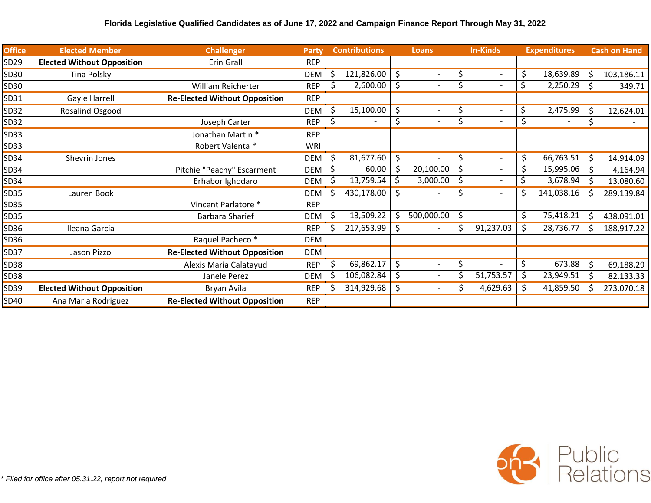| <b>Office</b> | <b>Elected Member</b>             | <b>Challenger</b>                    | <b>Party</b> |    | <b>Contributions</b> |         | <b>Loans</b>             | <b>In-Kinds</b> | <b>Expenditures</b> |    | <b>Cash on Hand</b> |
|---------------|-----------------------------------|--------------------------------------|--------------|----|----------------------|---------|--------------------------|-----------------|---------------------|----|---------------------|
| SD29          | <b>Elected Without Opposition</b> | Erin Grall                           | <b>REP</b>   |    |                      |         |                          |                 |                     |    |                     |
| SD30          | Tina Polsky                       |                                      | <b>DEM</b>   | \$ | 121,826.00           | \$      | $\overline{\phantom{a}}$ | \$              | \$<br>18,639.89     | Ś  | 103,186.11          |
| SD30          |                                   | William Reicherter                   | <b>REP</b>   | \$ | 2,600.00             | \$      |                          |                 | \$<br>2,250.29      | \$ | 349.71              |
| SD31          | Gayle Harrell                     | <b>Re-Elected Without Opposition</b> | <b>REP</b>   |    |                      |         |                          |                 |                     |    |                     |
| SD32          | Rosalind Osgood                   |                                      | <b>DEM</b>   | \$ | 15,100.00            | \$      | $\blacksquare$           | \$              | \$<br>2,475.99      | \$ | 12,624.01           |
| SD32          |                                   | Joseph Carter                        | <b>REP</b>   | \$ |                      | \$      | $\overline{\phantom{a}}$ |                 | \$                  | \$ |                     |
| SD33          |                                   | Jonathan Martin *                    | <b>REP</b>   |    |                      |         |                          |                 |                     |    |                     |
| SD33          |                                   | Robert Valenta *                     | WRI          |    |                      |         |                          |                 |                     |    |                     |
| SD34          | Shevrin Jones                     |                                      | <b>DEM</b>   | \$ | 81,677.60            | \$      |                          | \$              | \$<br>66,763.51     | Ś  | 14,914.09           |
| SD34          |                                   | Pitchie "Peachy" Escarment           | <b>DEM</b>   | \$ | 60.00                |         | 20,100.00                | \$              | 15,995.06           | \$ | 4,164.94            |
| SD34          |                                   | Erhabor Ighodaro                     | <b>DEM</b>   | \$ | 13,759.54            |         | 3,000.00                 | \$<br>٠         | \$<br>3,678.94      | \$ | 13,080.60           |
| SD35          | Lauren Book                       |                                      | <b>DEM</b>   | Ś  | 430,178.00           | S       |                          | \$              | \$<br>141,038.16    |    | 289,139.84          |
| SD35          |                                   | Vincent Parlatore *                  | <b>REP</b>   |    |                      |         |                          |                 |                     |    |                     |
| SD35          |                                   | <b>Barbara Sharief</b>               | <b>DEM</b>   | \$ | 13,509.22            |         | 500,000.00               | \$              | \$<br>75,418.21     | Ś  | 438,091.01          |
| SD36          | Ileana Garcia                     |                                      | <b>REP</b>   |    | 217,653.99           | S       | $\overline{\phantom{a}}$ | 91,237.03       | 28,736.77           |    | 188,917.22          |
| SD36          |                                   | Raquel Pacheco *                     | <b>DEM</b>   |    |                      |         |                          |                 |                     |    |                     |
| SD37          | Jason Pizzo                       | <b>Re-Elected Without Opposition</b> | <b>DEM</b>   |    |                      |         |                          |                 |                     |    |                     |
| <b>SD38</b>   |                                   | Alexis Maria Calatayud               | <b>REP</b>   | \$ | 69,862.17            | $\zeta$ |                          | \$              | \$<br>673.88        | \$ | 69,188.29           |
| SD38          |                                   | Janele Perez                         | <b>DEM</b>   |    | 106,082.84           | \$,     | $\qquad \qquad -$        | 51,753.57       | \$<br>23,949.51     | Ŝ. | 82,133.33           |
| SD39          | <b>Elected Without Opposition</b> | Bryan Avila                          | <b>REP</b>   |    | 314,929.68           | \$      | $\qquad \qquad -$        | \$<br>4,629.63  | \$<br>41,859.50     | ς  | 273,070.18          |
| SD40          | Ana Maria Rodriguez               | <b>Re-Elected Without Opposition</b> | <b>REP</b>   |    |                      |         |                          |                 |                     |    |                     |

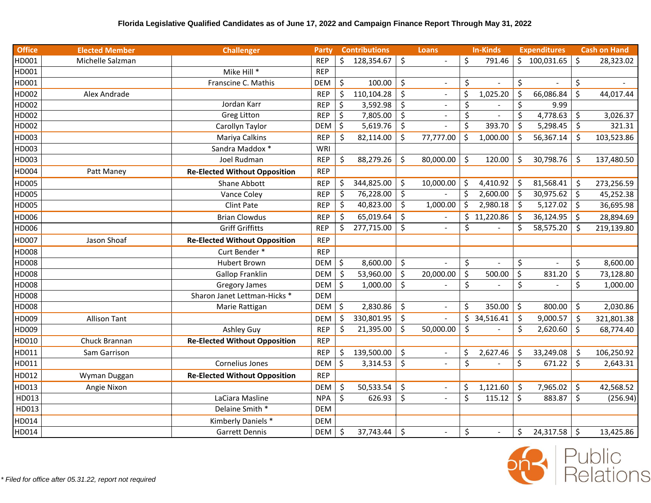| <b>Office</b> | <b>Elected Member</b> | <b>Challenger</b>                    | Party      | <b>Contributions</b> |                    | Loans                    |         | <b>In-Kinds</b> |    | <b>Expenditures</b> |                     | <b>Cash on Hand</b> |
|---------------|-----------------------|--------------------------------------|------------|----------------------|--------------------|--------------------------|---------|-----------------|----|---------------------|---------------------|---------------------|
| HD001         | Michelle Salzman      |                                      | <b>REP</b> | \$<br>128,354.67     | $\zeta$            |                          | \$      | 791.46          |    | \$100,031.65        | \$                  | 28,323.02           |
| HD001         |                       | Mike Hill *                          | <b>REP</b> |                      |                    |                          |         |                 |    |                     |                     |                     |
| HD001         |                       | Franscine C. Mathis                  | <b>DEM</b> | \$<br>100.00         | \$                 |                          | \$      |                 | \$ |                     | \$                  |                     |
| HD002         | Alex Andrade          |                                      | <b>REP</b> | \$<br>110,104.28     | $\zeta$            | $\blacksquare$           | \$      | 1,025.20        | \$ | 66,086.84           | \$                  | 44,017.44           |
| HD002         |                       | Jordan Karr                          | <b>REP</b> | \$<br>3,592.98       | $\zeta$            |                          | \$      |                 | \$ | 9.99                |                     |                     |
| HD002         |                       | <b>Greg Litton</b>                   | <b>REP</b> | \$<br>7,805.00       | $\ddot{\varsigma}$ | $\blacksquare$           | $\zeta$ | $\sim$          | \$ | 4,778.63            | $\ddot{\mathsf{S}}$ | 3,026.37            |
| HD002         |                       | Carollyn Taylor                      | DEM        | \$<br>5,619.76       | $\ddot{\varsigma}$ |                          | \$      | 393.70          | \$ | 5,298.45            | \$                  | 321.31              |
| HD003         |                       | Mariya Calkins                       | <b>REP</b> | \$<br>82,114.00      | -\$                | 77,777.00                | \$      | 1,000.00        | .S | 56,367.14           | Ŝ.                  | 103,523.86          |
| HD003         |                       | Sandra Maddox *                      | WRI        |                      |                    |                          |         |                 |    |                     |                     |                     |
| HD003         |                       | Joel Rudman                          | <b>REP</b> | \$<br>88,279.26      | \$                 | 80,000.00                | \$      | 120.00          | \$ | 30,798.76           | \$                  | 137,480.50          |
| HD004         | Patt Maney            | <b>Re-Elected Without Opposition</b> | <b>REP</b> |                      |                    |                          |         |                 |    |                     |                     |                     |
| HD005         |                       | Shane Abbott                         | <b>REP</b> | \$<br>344,825.00     | -\$                | 10,000.00                | \$      | 4,410.92        | Ŝ. | 81,568.41           | Ś                   | 273,256.59          |
| HD005         |                       | Vance Coley                          | <b>REP</b> | \$<br>76,228.00      | \$                 |                          | \$      | 2,600.00        | \$ | 30,975.62           | $\mathsf{\dot{S}}$  | 45,252.38           |
| HD005         |                       | <b>Clint Pate</b>                    | <b>REP</b> | \$<br>40,823.00      | $\zeta$            | 1,000.00                 | \$      | 2,980.18        | \$ | 5,127.02            | $\zeta$             | 36,695.98           |
| HD006         |                       | <b>Brian Clowdus</b>                 | <b>REP</b> | \$<br>65,019.64      | \$                 |                          |         | \$11,220.86     | Š. | 36,124.95           | $\mathsf{S}$        | 28,894.69           |
| HD006         |                       | <b>Griff Griffitts</b>               | <b>REP</b> | \$<br>277,715.00     | \$                 |                          | \$      |                 | Ś. | 58,575.20           | Š.                  | 219,139.80          |
| HD007         | Jason Shoaf           | <b>Re-Elected Without Opposition</b> | <b>REP</b> |                      |                    |                          |         |                 |    |                     |                     |                     |
| HD008         |                       | Curt Bender *                        | <b>REP</b> |                      |                    |                          |         |                 |    |                     |                     |                     |
| HD008         |                       | <b>Hubert Brown</b>                  | DEM        | \$<br>8,600.00       | \$                 |                          | \$      |                 | \$ |                     | \$                  | 8,600.00            |
| HD008         |                       | <b>Gallop Franklin</b>               | <b>DEM</b> | \$<br>53,960.00      | \$                 | 20,000.00                | \$      | 500.00          | \$ | 831.20              | \$                  | 73,128.80           |
| HD008         |                       | <b>Gregory James</b>                 | <b>DEM</b> | \$<br>1,000.00       | $\zeta$            |                          | \$      |                 | \$ |                     | \$                  | 1,000.00            |
| HD008         |                       | Sharon Janet Lettman-Hicks *         | <b>DEM</b> |                      |                    |                          |         |                 |    |                     |                     |                     |
| HD008         |                       | Marie Rattigan                       | DEM        | \$<br>2,830.86       | \$                 |                          | \$      | 350.00          | \$ | 800.00              | \$                  | 2,030.86            |
| HD009         | <b>Allison Tant</b>   |                                      | <b>DEM</b> | \$<br>330,801.95     | $\zeta$            |                          | \$      | 34,516.41       | \$ | 9,000.57            | $\mathsf{\dot{S}}$  | 321,801.38          |
| HD009         |                       | Ashley Guy                           | <b>REP</b> | \$<br>21,395.00      | \$                 | 50,000.00                | \$      |                 | \$ | 2,620.60            | \$                  | 68,774.40           |
| HD010         | Chuck Brannan         | <b>Re-Elected Without Opposition</b> | <b>REP</b> |                      |                    |                          |         |                 |    |                     |                     |                     |
| HD011         | Sam Garrison          |                                      | <b>REP</b> | \$<br>139,500.00     | $\zeta$            | $\blacksquare$           | \$      | 2,627.46        | \$ | 33,249.08           | \$                  | 106,250.92          |
| HD011         |                       | Cornelius Jones                      | <b>DEM</b> | \$<br>3,314.53       | \$                 |                          | \$      |                 | \$ | 671.22              | $\zeta$             | 2,643.31            |
| HD012         | Wyman Duggan          | <b>Re-Elected Without Opposition</b> | <b>REP</b> |                      |                    |                          |         |                 |    |                     |                     |                     |
| HD013         | Angie Nixon           |                                      | DEM        | \$<br>50,533.54      | \$                 | $\overline{\phantom{0}}$ | \$      | 1,121.60        | \$ | 7,965.02            | \$                  | 42,568.52           |
| HD013         |                       | LaCiara Masline                      | <b>NPA</b> | \$<br>626.93         | \$                 |                          | \$      | 115.12          | Ś  | 883.87              | \$                  | (256.94)            |
| HD013         |                       | Delaine Smith *                      | <b>DEM</b> |                      |                    |                          |         |                 |    |                     |                     |                     |
| HD014         |                       | Kimberly Daniels *                   | <b>DEM</b> |                      |                    |                          |         |                 |    |                     |                     |                     |
| HD014         |                       | <b>Garrett Dennis</b>                | DEM        | \$<br>37,743.44      | $\zeta$            |                          | \$      | $\blacksquare$  | \$ | 24,317.58           | \$                  | 13,425.86           |

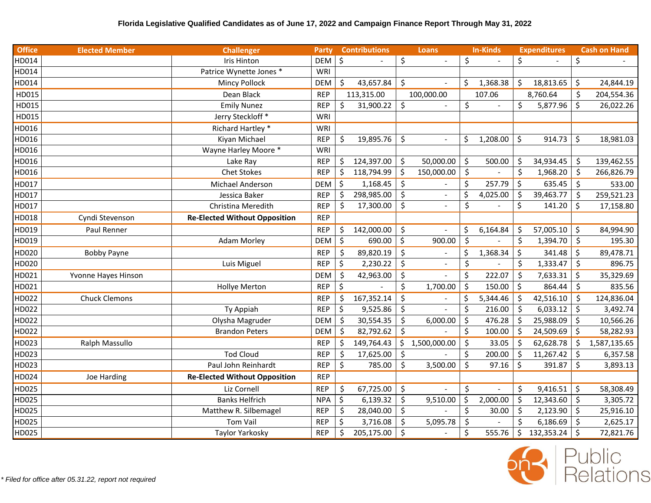| <b>Office</b> | <b>Elected Member</b> | <b>Challenger</b>                    | Party      | <b>Contributions</b> |                    | <b>Loans</b>   |         | <b>In-Kinds</b> |         | <b>Expenditures</b> |         | <b>Cash on Hand</b> |
|---------------|-----------------------|--------------------------------------|------------|----------------------|--------------------|----------------|---------|-----------------|---------|---------------------|---------|---------------------|
| HD014         |                       | Iris Hinton                          | <b>DEM</b> | \$                   | \$                 |                | \$      |                 | \$      |                     | \$      |                     |
| HD014         |                       | Patrice Wynette Jones *              | <b>WRI</b> |                      |                    |                |         |                 |         |                     |         |                     |
| HD014         |                       | <b>Mincy Pollock</b>                 | DEM        | \$<br>43,657.84      | \$                 |                | \$      | 1,368.38        | \$      | 18,813.65           | $\zeta$ | 24,844.19           |
| HD015         |                       | Dean Black                           | <b>REP</b> | 113,315.00           |                    | 100,000.00     |         | 107.06          |         | 8,760.64            | \$      | 204,554.36          |
| HD015         |                       | <b>Emily Nunez</b>                   | <b>REP</b> | \$<br>31,900.22      | $\zeta$            |                | \$      | $\sim$          | \$      | 5,877.96            | \$      | 26,022.26           |
| HD015         |                       | Jerry Steckloff *                    | <b>WRI</b> |                      |                    |                |         |                 |         |                     |         |                     |
| HD016         |                       | Richard Hartley *                    | <b>WRI</b> |                      |                    |                |         |                 |         |                     |         |                     |
| HD016         |                       | Kiyan Michael                        | <b>REP</b> | \$<br>19,895.76      | \$                 |                | \$      | 1,208.00        | \$      | 914.73              | \$      | 18,981.03           |
| HD016         |                       | Wayne Harley Moore *                 | WRI        |                      |                    |                |         |                 |         |                     |         |                     |
| HD016         |                       | Lake Ray                             | <b>REP</b> | \$<br>124,397.00     | $\zeta$            | 50,000.00      | \$      | 500.00          | \$      | 34,934.45           | \$      | 139,462.55          |
| HD016         |                       | <b>Chet Stokes</b>                   | <b>REP</b> | \$<br>118,794.99     | \$                 | 150,000.00     | $\zeta$ |                 | \$      | 1,968.20            | \$      | 266,826.79          |
| HD017         |                       | Michael Anderson                     | <b>DEM</b> | \$<br>1,168.45       | -\$                |                | \$      | 257.79          | $\zeta$ | 635.45              | \$      | 533.00              |
| HD017         |                       | Jessica Baker                        | <b>REP</b> | \$<br>298,985.00     | $\zeta$            | $\overline{a}$ | \$      | 4,025.00        | $\zeta$ | 39,463.77           | \$      | 259,521.23          |
| HD017         |                       | Christina Meredith                   | <b>REP</b> | \$<br>17,300.00      | $\zeta$            | $\overline{a}$ | \$      |                 | \$      | 141.20              | \$      | 17,158.80           |
| HD018         | Cyndi Stevenson       | <b>Re-Elected Without Opposition</b> | <b>REP</b> |                      |                    |                |         |                 |         |                     |         |                     |
| HD019         | Paul Renner           |                                      | <b>REP</b> | \$<br>142,000.00     | \$                 |                | \$      | 6,164.84        | \$      | 57,005.10           | $\zeta$ | 84,994.90           |
| HD019         |                       | <b>Adam Morley</b>                   | DEM        | \$<br>690.00         | $\zeta$            | 900.00         | $\zeta$ |                 | \$      | 1,394.70            | \$      | 195.30              |
| HD020         | <b>Bobby Payne</b>    |                                      | <b>REP</b> | \$<br>89,820.19      | $\zeta$            | $\blacksquare$ | \$      | 1,368.34        | $\zeta$ | 341.48              | $\zeta$ | 89,478.71           |
| HD020         |                       | Luis Miguel                          | <b>REP</b> | \$<br>2,230.22       | $\ddot{\varsigma}$ |                | \$      |                 | \$      | 1,333.47            | \$      | 896.75              |
| HD021         | Yvonne Hayes Hinson   |                                      | <b>DEM</b> | \$<br>42,963.00      | $\zeta$            |                | \$      | 222.07          | \$      | 7,633.31            | \$      | 35,329.69           |
| HD021         |                       | <b>Hollye Merton</b>                 | <b>REP</b> | \$                   | \$                 | 1,700.00       | $\zeta$ | 150.00          | $\zeta$ | 864.44              | \$      | 835.56              |
| HD022         | <b>Chuck Clemons</b>  |                                      | <b>REP</b> | \$<br>167,352.14     | \$                 |                | \$      | 5,344.46        | \$      | 42,516.10           | \$      | 124,836.04          |
| HD022         |                       | Ty Appiah                            | <b>REP</b> | \$<br>9,525.86       | \$                 |                | \$      | 216.00          | \$      | 6,033.12            | \$      | 3,492.74            |
| HD022         |                       | Olysha Magruder                      | <b>DEM</b> | \$<br>30,554.35      | \$                 | 6,000.00       | \$      | 476.28          | \$      | 25,988.09           | \$      | 10,566.26           |
| HD022         |                       | <b>Brandon Peters</b>                | DEM        | \$<br>82,792.62      | $\zeta$            |                | \$      | 100.00          | $\zeta$ | 24,509.69           | \$      | 58,282.93           |
| HD023         | Ralph Massullo        |                                      | <b>REP</b> | \$<br>149,764.43     | \$                 | 1,500,000.00   | \$      | 33.05           | $\zeta$ | 62,628.78           | \$      | 1,587,135.65        |
| HD023         |                       | <b>Tod Cloud</b>                     | <b>REP</b> | \$<br>17,625.00      | $\zeta$            |                | \$      | 200.00          | $\zeta$ | 11,267.42           | \$      | 6,357.58            |
| HD023         |                       | Paul John Reinhardt                  | <b>REP</b> | \$<br>785.00         | $\zeta$            | 3,500.00       | \$      | 97.16           | $\zeta$ | 391.87              | Ś.      | 3,893.13            |
| HD024         | Joe Harding           | <b>Re-Elected Without Opposition</b> | <b>REP</b> |                      |                    |                |         |                 |         |                     |         |                     |
| HD025         |                       | Liz Cornell                          | <b>REP</b> | \$<br>67,725.00      | $\zeta$            |                | \$      |                 | Ś.      | 9,416.51            | $\zeta$ | 58,308.49           |
| HD025         |                       | <b>Banks Helfrich</b>                | <b>NPA</b> | \$<br>6,139.32       | \$                 | 9,510.00       | \$      | 2,000.00        | \$      | 12,343.60           | -\$     | 3,305.72            |
| HD025         |                       | Matthew R. Silbemagel                | <b>REP</b> | \$<br>28,040.00      | $\zeta$            |                | \$      | 30.00           | $\zeta$ | 2,123.90            | \$      | 25,916.10           |
| HD025         |                       | <b>Tom Vail</b>                      | <b>REP</b> | \$<br>3,716.08       | Ŝ.                 | 5,095.78       | \$      |                 | Ś.      | 6,186.69            | $\zeta$ | 2,625.17            |
| HD025         |                       | Taylor Yarkosky                      | <b>REP</b> | \$<br>205,175.00     | $\ddot{\varsigma}$ |                | \$      | 555.76          | \$      | 132,353.24          | $\zeta$ | 72,821.76           |

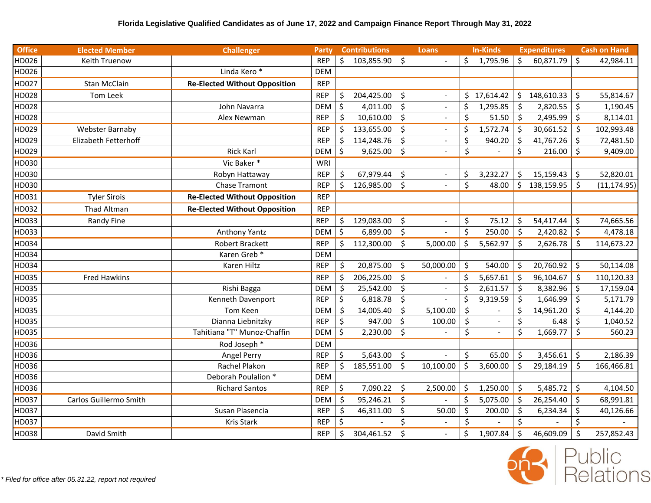| <b>Office</b> | <b>Elected Member</b>  | <b>Challenger</b>                    | Party      |         | <b>Contributions</b> |         | <b>Loans</b>             |         | <b>In-Kinds</b> |                     | <b>Expenditures</b> |         | <b>Cash on Hand</b> |
|---------------|------------------------|--------------------------------------|------------|---------|----------------------|---------|--------------------------|---------|-----------------|---------------------|---------------------|---------|---------------------|
| HD026         | Keith Truenow          |                                      | <b>REP</b> | \$      | 103,855.90           | $\zeta$ |                          | \$      | 1,795.96        | Ś.                  | 60,871.79           | $\zeta$ | 42,984.11           |
| HD026         |                        | Linda Kero <sup>*</sup>              | <b>DEM</b> |         |                      |         |                          |         |                 |                     |                     |         |                     |
| HD027         | <b>Stan McClain</b>    | <b>Re-Elected Without Opposition</b> | <b>REP</b> |         |                      |         |                          |         |                 |                     |                     |         |                     |
| HD028         | Tom Leek               |                                      | <b>REP</b> | \$      | 204,425.00           | \$      | $\sim$                   |         | \$17,614.42     | \$                  | 148,610.33          | $\zeta$ | 55,814.67           |
| HD028         |                        | John Navarra                         | <b>DEM</b> | \$      | 4,011.00             | \$      | $\blacksquare$           | \$      | 1,295.85        | $\zeta$             | 2,820.55            | $\zeta$ | 1,190.45            |
| HD028         |                        | Alex Newman                          | <b>REP</b> | \$      | 10,610.00            | \$      | $\blacksquare$           | \$      | 51.50           | $\ddot{\mathsf{S}}$ | 2,495.99            | $\zeta$ | 8,114.01            |
| HD029         | Webster Barnaby        |                                      | <b>REP</b> | \$      | 133,655.00           | \$      | $\overline{\phantom{a}}$ | \$      | 1,572.74        | \$                  | 30,661.52           | -\$     | 102,993.48          |
| HD029         | Elizabeth Fetterhoff   |                                      | <b>REP</b> | \$      | 114,248.76           | $\zeta$ |                          | \$      | 940.20          | \$                  | 41,767.26           | \$      | 72,481.50           |
| HD029         |                        | <b>Rick Karl</b>                     | <b>DEM</b> | \$      | 9,625.00             | \$      |                          | \$      |                 | \$                  | 216.00              | \$      | 9,409.00            |
| HD030         |                        | Vic Baker*                           | WRI        |         |                      |         |                          |         |                 |                     |                     |         |                     |
| HD030         |                        | Robyn Hattaway                       | <b>REP</b> | \$      | 67,979.44            | \$      | $\sim$                   | \$      | 3,232.27        | \$                  | 15,159.43           | $\zeta$ | 52,820.01           |
| HD030         |                        | <b>Chase Tramont</b>                 | <b>REP</b> | \$      | 126,985.00           | $\zeta$ | $\overline{a}$           | \$      | 48.00           | \$                  | 138,159.95          | \$      | (11, 174.95)        |
| HD031         | <b>Tyler Sirois</b>    | <b>Re-Elected Without Opposition</b> | <b>REP</b> |         |                      |         |                          |         |                 |                     |                     |         |                     |
| HD032         | Thad Altman            | <b>Re-Elected Without Opposition</b> | <b>REP</b> |         |                      |         |                          |         |                 |                     |                     |         |                     |
| HD033         | Randy Fine             |                                      | <b>REP</b> | \$      | 129,083.00           | \$      | $\blacksquare$           | \$      | 75.12           | \$                  | 54,417.44           | \$      | 74,665.56           |
| HD033         |                        | Anthony Yantz                        | <b>DEM</b> | \$      | 6,899.00             | \$      |                          | \$      | 250.00          | $\zeta$             | 2,420.82            | $\zeta$ | 4,478.18            |
| HD034         |                        | Robert Brackett                      | <b>REP</b> | \$      | 112,300.00           | \$      | 5,000.00                 | \$      | 5,562.97        | \$                  | 2,626.78            | \$      | 114,673.22          |
| HD034         |                        | Karen Greb <sup>*</sup>              | <b>DEM</b> |         |                      |         |                          |         |                 |                     |                     |         |                     |
| HD034         |                        | Karen Hiltz                          | <b>REP</b> | \$      | 20,875.00            | $\zeta$ | 50,000.00                | \$      | 540.00          | \$                  | 20,760.92           | \$      | 50,114.08           |
| HD035         | <b>Fred Hawkins</b>    |                                      | <b>REP</b> | \$      | 206,225.00           | \$      |                          | \$      | 5,657.61        | $\zeta$             | 96,104.67           | $\zeta$ | 110,120.33          |
| HD035         |                        | Rishi Bagga                          | <b>DEM</b> | \$      | 25,542.00            | \$      | $\blacksquare$           | \$      | 2,611.57        | \$                  | 8,382.96            | \$      | 17,159.04           |
| HD035         |                        | Kenneth Davenport                    | <b>REP</b> | \$      | 6,818.78             | $\zeta$ |                          | \$      | 9,319.59        | Ś                   | 1,646.99            | \$      | 5,171.79            |
| HD035         |                        | Tom Keen                             | <b>DEM</b> | \$      | 14,005.40            | \$      | 5,100.00                 | $\zeta$ |                 | \$                  | 14,961.20           | \$      | 4,144.20            |
| HD035         |                        | Dianna Liebnitzky                    | <b>REP</b> | \$      | 947.00               | \$      | 100.00                   | \$      | $\blacksquare$  | \$                  | 6.48                | \$      | 1,040.52            |
| HD035         |                        | Tahitiana "T" Munoz-Chaffin          | <b>DEM</b> | \$      | 2,230.00             | $\zeta$ |                          | $\zeta$ | $\mathbb{L}$    | \$                  | 1,669.77            | \$      | 560.23              |
| HD036         |                        | Rod Joseph *                         | <b>DEM</b> |         |                      |         |                          |         |                 |                     |                     |         |                     |
| HD036         |                        | Angel Perry                          | <b>REP</b> | \$      | 5,643.00             | $\zeta$ |                          | \$      | 65.00           | \$                  | 3,456.61            | $\zeta$ | 2,186.39            |
| HD036         |                        | Rachel Plakon                        | <b>REP</b> | \$      | 185,551.00           | \$      | 10,100.00                | \$      | 3,600.00        | \$                  | 29,184.19           | \$      | 166,466.81          |
| HD036         |                        | Deborah Poulalion *                  | <b>DEM</b> |         |                      |         |                          |         |                 |                     |                     |         |                     |
| HD036         |                        | <b>Richard Santos</b>                | <b>REP</b> | \$      | 7,090.22             | \$      | 2,500.00                 | \$      | 1,250.00        | \$                  | 5,485.72            | \$      | 4,104.50            |
| HD037         | Carlos Guillermo Smith |                                      | <b>DEM</b> | \$      | 95,246.21            | $\zeta$ |                          | \$      | 5,075.00        | \$                  | 26,254.40           | $\zeta$ | 68,991.81           |
| HD037         |                        | Susan Plasencia                      | <b>REP</b> | $\zeta$ | 46,311.00            | $\zeta$ | 50.00                    | \$      | 200.00          | \$                  | 6,234.34            | $\zeta$ | 40,126.66           |
| HD037         |                        | <b>Kris Stark</b>                    | <b>REP</b> | \$      |                      | \$      |                          | \$      |                 | \$                  |                     | \$      |                     |
| HD038         | David Smith            |                                      | <b>REP</b> | \$      | 304,461.52           | $\zeta$ |                          | \$      | 1,907.84        | \$                  | 46,609.09           | Ś.      | 257,852.43          |

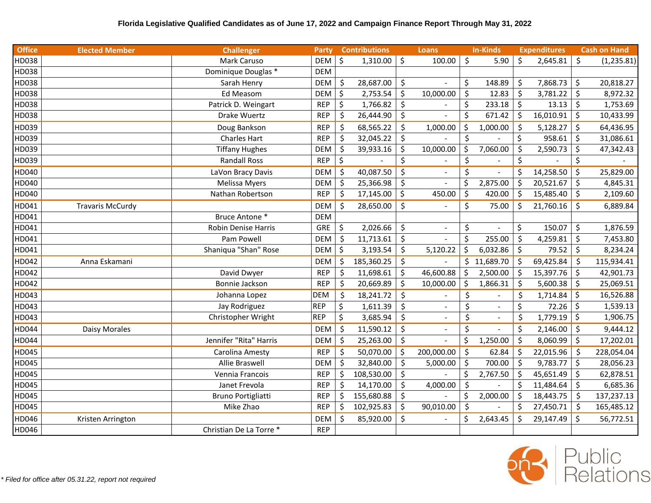| <b>Office</b> | <b>Elected Member</b>   | <b>Challenger</b>       | Party      | <b>Contributions</b> |         | <b>Loans</b>   |    | In-Kinds       |         | <b>Expenditures</b> |         | <b>Cash on Hand</b> |
|---------------|-------------------------|-------------------------|------------|----------------------|---------|----------------|----|----------------|---------|---------------------|---------|---------------------|
| HD038         |                         | Mark Caruso             | <b>DEM</b> | Ś.<br>1,310.00       | \$      | 100.00         | \$ | 5.90           | \$      | 2,645.81            | \$      | (1, 235.81)         |
| HD038         |                         | Dominique Douglas *     | <b>DEM</b> |                      |         |                |    |                |         |                     |         |                     |
| HD038         |                         | Sarah Henry             | <b>DEM</b> | \$<br>28,687.00      | \$      |                | \$ | 148.89         | $\zeta$ | 7,868.73            | \$      | 20,818.27           |
| HD038         |                         | Ed Measom               | <b>DEM</b> | \$<br>2,753.54       | \$      | 10,000.00      | \$ | 12.83          | $\zeta$ | 3,781.22            | \$      | 8,972.32            |
| HD038         |                         | Patrick D. Weingart     | <b>REP</b> | \$<br>1,766.82       | $\zeta$ |                | \$ | 233.18         | $\zeta$ | 13.13               | \$      | 1,753.69            |
| HD038         |                         | Drake Wuertz            | <b>REP</b> | \$<br>26,444.90      | \$      |                | \$ | 671.42         | \$      | 16,010.91           | \$      | 10,433.99           |
| HD039         |                         | Doug Bankson            | <b>REP</b> | \$<br>68,565.22      | $\zeta$ | 1,000.00       | \$ | 1,000.00       | \$      | 5,128.27            | \$      | 64,436.95           |
| HD039         |                         | <b>Charles Hart</b>     | <b>REP</b> | \$<br>32,045.22      | $\zeta$ |                | \$ |                | \$      | 958.61              | $\zeta$ | 31,086.61           |
| HD039         |                         | <b>Tiffany Hughes</b>   | <b>DEM</b> | \$<br>39,933.16      | $\zeta$ | 10,000.00      | \$ | 7,060.00       | \$      | 2,590.73            | \$      | 47,342.43           |
| HD039         |                         | <b>Randall Ross</b>     | <b>REP</b> | \$                   | \$      |                | \$ |                | \$      |                     | \$      |                     |
| HD040         |                         | LaVon Bracy Davis       | <b>DEM</b> | \$<br>40,087.50      | $\zeta$ | $\overline{a}$ | \$ |                | \$      | 14,258.50           | $\zeta$ | 25,829.00           |
| HD040         |                         | <b>Melissa Myers</b>    | <b>DEM</b> | \$<br>25,366.98      | \$      |                | \$ | 2,875.00       | \$      | 20,521.67           | \$      | 4,845.31            |
| HD040         |                         | Nathan Robertson        | <b>REP</b> | \$<br>17,145.00      | \$      | 450.00         | \$ | 420.00         | \$      | 15,485.40           | \$      | 2,109.60            |
| HD041         | <b>Travaris McCurdy</b> |                         | <b>DEM</b> | \$<br>28,650.00      | $\zeta$ |                | \$ | 75.00          | \$      | 21,760.16           | \$      | 6,889.84            |
| HD041         |                         | Bruce Antone *          | <b>DEM</b> |                      |         |                |    |                |         |                     |         |                     |
| HD041         |                         | Robin Denise Harris     | GRE        | \$<br>2,026.66       | $\zeta$ |                | \$ |                | \$      | 150.07              | $\zeta$ | 1,876.59            |
| HD041         |                         | Pam Powell              | <b>DEM</b> | \$<br>11,713.61      | \$      |                | \$ | 255.00         | $\zeta$ | 4,259.81            | $\zeta$ | 7,453.80            |
| HD041         |                         | Shaniqua "Shan" Rose    | <b>DEM</b> | \$<br>3,193.54       | \$      | 5,120.22       | ς  | 6,032.86       | \$      | 79.52               | \$      | 8,234.24            |
| HD042         | Anna Eskamani           |                         | <b>DEM</b> | \$<br>185,360.25     | $\zeta$ |                |    | \$11,689.70    | \$      | 69,425.84           | $\zeta$ | 115,934.41          |
| HD042         |                         | David Dwyer             | <b>REP</b> | \$<br>11,698.61      | \$      | 46,600.88      | Ś. | 2,500.00       | \$      | 15,397.76           | \$      | 42,901.73           |
| HD042         |                         | Bonnie Jackson          | <b>REP</b> | \$<br>20,669.89      | \$      | 10,000.00      | \$ | 1,866.31       | $\zeta$ | 5,600.38            | \$      | 25,069.51           |
| HD043         |                         | Johanna Lopez           | <b>DEM</b> | $\zeta$<br>18,241.72 | $\zeta$ |                | \$ |                | \$      | 1,714.84            | \$      | 16,526.88           |
| HD043         |                         | Jay Rodriguez           | <b>REP</b> | \$<br>1,611.39       | $\zeta$ |                | \$ |                | \$      | 72.26               | \$      | 1,539.13            |
| HD043         |                         | Christopher Wright      | <b>REP</b> | \$<br>3,685.94       | \$      |                | \$ | $\blacksquare$ | \$      | 1,779.19            | \$      | 1,906.75            |
| HD044         | Daisy Morales           |                         | <b>DEM</b> | \$<br>11,590.12      | $\zeta$ | $\overline{a}$ | \$ |                | \$      | 2,146.00            | \$      | 9,444.12            |
| HD044         |                         | Jennifer "Rita" Harris  | <b>DEM</b> | \$<br>25,263.00      | $\zeta$ |                | \$ | 1,250.00       | $\zeta$ | 8,060.99            | \$      | 17,202.01           |
| HD045         |                         | Carolina Amesty         | <b>REP</b> | \$<br>50,070.00      | \$      | 200,000.00     | \$ | 62.84          | \$      | 22,015.96           | \$      | 228,054.04          |
| HD045         |                         | Allie Braswell          | <b>DEM</b> | \$<br>32,840.00      | $\zeta$ | 5,000.00       | \$ | 700.00         | $\zeta$ | 9,783.77            | $\zeta$ | 28,056.23           |
| HD045         |                         | Vennia Francois         | <b>REP</b> | \$<br>108,530.00     | $\zeta$ |                | \$ | 2,767.50       | \$      | 45,651.49           | \$      | 62,878.51           |
| HD045         |                         | Janet Frevola           | <b>REP</b> | \$<br>14,170.00      | $\zeta$ | 4,000.00       | \$ |                | \$      | 11,484.64           | \$      | 6,685.36            |
| HD045         |                         | Bruno Portigliatti      | <b>REP</b> | \$<br>155,680.88     | \$      |                | \$ | 2,000.00       | \$      | 18,443.75           | \$      | 137,237.13          |
| HD045         |                         | Mike Zhao               | <b>REP</b> | \$<br>102,925.83     | $\zeta$ | 90,010.00      | \$ |                | \$      | 27,450.71           | \$      | 165,485.12          |
| HD046         | Kristen Arrington       |                         | <b>DEM</b> | \$<br>85,920.00      | \$      |                | \$ | 2,643.45       | \$      | 29,147.49           | \$      | 56,772.51           |
| HD046         |                         | Christian De La Torre * | <b>REP</b> |                      |         |                |    |                |         |                     |         |                     |

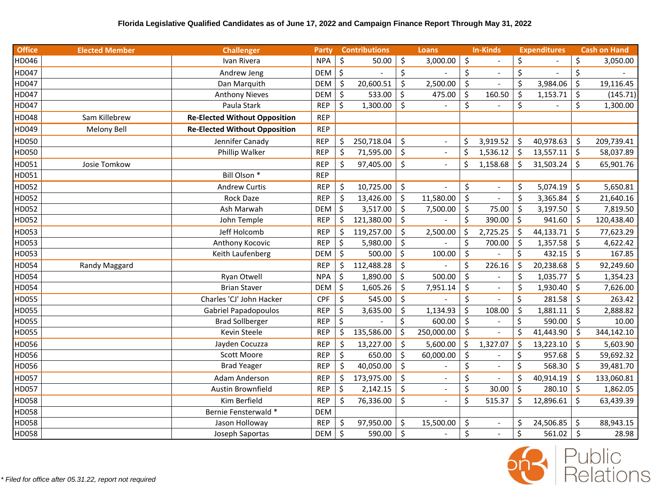| <b>Office</b> | <b>Elected Member</b> | <b>Challenger</b>                    | Party      |         | <b>Contributions</b> |         | <b>Loans</b>             |         | <b>In-Kinds</b> |         | <b>Expenditures</b> |         | <b>Cash on Hand</b> |
|---------------|-----------------------|--------------------------------------|------------|---------|----------------------|---------|--------------------------|---------|-----------------|---------|---------------------|---------|---------------------|
| HD046         |                       | Ivan Rivera                          | <b>NPA</b> | \$      | 50.00                | $\zeta$ | 3,000.00                 | \$      |                 | \$      |                     | \$      | 3,050.00            |
| HD047         |                       | Andrew Jeng                          | <b>DEM</b> | \$      |                      | \$      |                          | \$      | $\sim$          | \$      |                     | \$      |                     |
| HD047         |                       | Dan Marquith                         | <b>DEM</b> | \$      | 20,600.51            | \$      | 2,500.00                 | \$      |                 | \$      | 3,984.06            | \$      | 19,116.45           |
| HD047         |                       | <b>Anthony Nieves</b>                | <b>DEM</b> | $\zeta$ | 533.00               | \$      | 475.00                   | \$      | 160.50          | \$      | 1,153.71            | \$      | (145.71)            |
| HD047         |                       | Paula Stark                          | <b>REP</b> | \$      | 1,300.00             | $\zeta$ |                          | \$      |                 | \$      |                     | \$      | 1,300.00            |
| HD048         | Sam Killebrew         | <b>Re-Elected Without Opposition</b> | <b>REP</b> |         |                      |         |                          |         |                 |         |                     |         |                     |
| HD049         | Melony Bell           | <b>Re-Elected Without Opposition</b> | <b>REP</b> |         |                      |         |                          |         |                 |         |                     |         |                     |
| HD050         |                       | Jennifer Canady                      | <b>REP</b> | \$      | 250,718.04           | $\zeta$ | $\overline{\phantom{a}}$ | \$      | 3,919.52        | \$      | 40,978.63           | \$      | 209,739.41          |
| HD050         |                       | Phillip Walker                       | <b>REP</b> | \$      | 71,595.00            | \$      | $\blacksquare$           | \$      | 1,536.12        | \$      | 13,557.11           | \$      | 58,037.89           |
| HD051         | Josie Tomkow          |                                      | <b>REP</b> | \$      | 97,405.00            | $\zeta$ |                          | \$      | 1,158.68        | $\zeta$ | 31,503.24           | \$      | 65,901.76           |
| HD051         |                       | Bill Olson <sup>*</sup>              | <b>REP</b> |         |                      |         |                          |         |                 |         |                     |         |                     |
| HD052         |                       | <b>Andrew Curtis</b>                 | <b>REP</b> | \$      | 10,725.00            | $\zeta$ |                          | \$      | $\blacksquare$  | \$      | 5,074.19            | $\zeta$ | 5,650.81            |
| HD052         |                       | <b>Rock Daze</b>                     | <b>REP</b> | \$      | 13,426.00            | \$      | 11,580.00                | $\zeta$ |                 | \$      | 3,365.84            | $\zeta$ | 21,640.16           |
| HD052         |                       | Ash Marwah                           | <b>DEM</b> | \$      | 3,517.00             | $\zeta$ | 7,500.00                 | \$      | 75.00           | \$      | 3,197.50            | \$      | 7,819.50            |
| HD052         |                       | John Temple                          | <b>REP</b> | \$      | 121,380.00           | $\zeta$ |                          | \$      | 390.00          | \$      | 941.60              | \$      | 120,438.40          |
| HD053         |                       | Jeff Holcomb                         | <b>REP</b> | \$      | 119,257.00           | $\zeta$ | 2,500.00                 | \$      | 2,725.25        | $\zeta$ | 44,133.71           | $\zeta$ | 77,623.29           |
| HD053         |                       | Anthony Kocovic                      | <b>REP</b> | \$      | 5,980.00             | \$      |                          | \$      | 700.00          | $\zeta$ | 1,357.58            | \$      | 4,622.42            |
| HD053         |                       | Keith Laufenberg                     | <b>DEM</b> | \$      | 500.00               | \$      | 100.00                   | \$      |                 | \$      | 432.15              | \$      | 167.85              |
| HD054         | Randy Maggard         |                                      | <b>REP</b> | \$      | 112,488.28           | $\zeta$ |                          | \$      | 226.16          | \$      | 20,238.68           | $\zeta$ | 92,249.60           |
| HD054         |                       | Ryan Otwell                          | <b>NPA</b> | \$      | 1,890.00             | \$      | 500.00                   | $\zeta$ |                 | \$      | 1,035.77            | $\zeta$ | 1,354.23            |
| HD054         |                       | <b>Brian Staver</b>                  | <b>DEM</b> | \$      | 1,605.26             | \$      | 7,951.14                 | \$      |                 | \$      | 1,930.40            | \$      | 7,626.00            |
| HD055         |                       | Charles 'CJ' John Hacker             | <b>CPF</b> | \$      | 545.00               | $\zeta$ |                          | \$      |                 | \$      | 281.58              | \$      | 263.42              |
| HD055         |                       | <b>Gabriel Papadopoulos</b>          | <b>REP</b> | \$      | 3,635.00             | \$      | 1,134.93                 | \$      | 108.00          | \$      | 1,881.11            | \$      | 2,888.82            |
| HD055         |                       | <b>Brad Sollberger</b>               | <b>REP</b> | \$      |                      | \$      | 600.00                   | \$      |                 | \$      | 590.00              | \$      | 10.00               |
| HD055         |                       | Kevin Steele                         | <b>REP</b> | \$      | 135,586.00           | \$      | 250,000.00               | \$      |                 | \$      | 41,443.90           | \$      | 344,142.10          |
| HD056         |                       | Jayden Cocuzza                       | <b>REP</b> | \$      | 13,227.00            | $\zeta$ | 5,600.00                 | \$      | 1,327.07        | \$      | 13,223.10           | $\zeta$ | 5,603.90            |
| HD056         |                       | Scott Moore                          | <b>REP</b> | \$      | 650.00               | $\zeta$ | 60,000.00                | \$      |                 | \$      | 957.68              | $\zeta$ | 59,692.32           |
| HD056         |                       | <b>Brad Yeager</b>                   | <b>REP</b> | \$      | 40,050.00            | $\zeta$ |                          | \$      |                 | \$      | 568.30              | $\zeta$ | 39,481.70           |
| HD057         |                       | Adam Anderson                        | <b>REP</b> | \$      | 173,975.00           | \$      |                          | \$      | $\blacksquare$  | \$      | 40,914.19           | \$      | 133,060.81          |
| HD057         |                       | Austin Brownfield                    | <b>REP</b> | \$      | 2,142.15             | \$      |                          | \$      | 30.00           | \$      | 280.10              | $\zeta$ | 1,862.05            |
| HD058         |                       | Kim Berfield                         | <b>REP</b> | $\zeta$ | 76,336.00            | $\zeta$ | $\blacksquare$           | $\zeta$ | 515.37          | \$      | 12,896.61           | \$      | 63,439.39           |
| HD058         |                       | Bernie Fensterwald *                 | <b>DEM</b> |         |                      |         |                          |         |                 |         |                     |         |                     |
| HD058         |                       | Jason Holloway                       | <b>REP</b> | \$      | 97,950.00            | $\zeta$ | 15,500.00                | \$      | $\blacksquare$  | \$      | 24,506.85           | \$      | 88,943.15           |
| HD058         |                       | Joseph Saportas                      | DEM        | \$      | 590.00               | $\zeta$ |                          | \$      | $\mathbb{Z}^2$  | \$      | 561.02              | \$      | 28.98               |

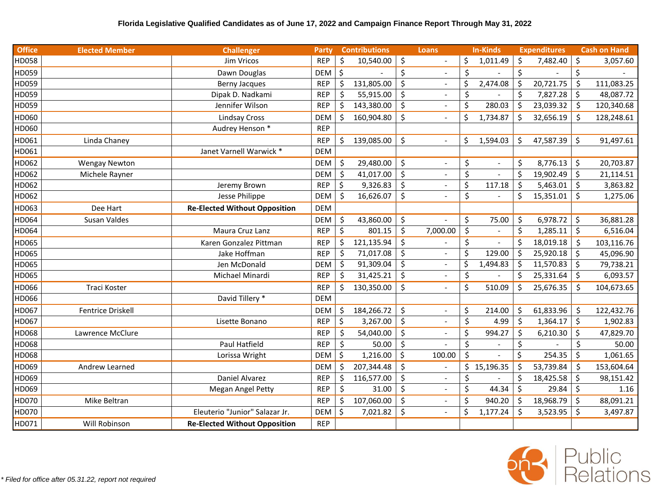| <b>Office</b> | <b>Elected Member</b> | <b>Challenger</b>                    | Party      |                      | <b>Contributions</b> |         | <b>Loans</b>   |         | <b>In-Kinds</b> |         | <b>Expenditures</b> |                     | <b>Cash on Hand</b> |
|---------------|-----------------------|--------------------------------------|------------|----------------------|----------------------|---------|----------------|---------|-----------------|---------|---------------------|---------------------|---------------------|
| HD058         |                       | Jim Vricos                           | <b>REP</b> | \$                   | 10,540.00            | \$      |                | \$      | 1,011.49        | Ŝ.      | 7,482.40            | Ŝ.                  | 3,057.60            |
| HD059         |                       | Dawn Douglas                         | <b>DEM</b> | $\boldsymbol{\zeta}$ |                      | \$      | $\sim$         | \$      |                 | \$      |                     | \$                  |                     |
| HD059         |                       | <b>Berny Jacques</b>                 | <b>REP</b> | $\zeta$              | 131,805.00           | \$      |                | \$      | 2,474.08        | $\zeta$ | 20,721.75           | \$                  | 111,083.25          |
| HD059         |                       | Dipak D. Nadkami                     | <b>REP</b> | \$                   | 55,915.00            | \$      |                | \$      |                 | \$      | 7,827.28            | \$                  | 48,087.72           |
| HD059         |                       | Jennifer Wilson                      | <b>REP</b> | \$                   | 143,380.00           | \$      |                | $\zeta$ | 280.03          | $\zeta$ | 23,039.32           | \$                  | 120,340.68          |
| HD060         |                       | <b>Lindsay Cross</b>                 | <b>DEM</b> | Ś.                   | 160,904.80           | \$      |                | \$      | 1,734.87        | Ś       | 32,656.19           | \$                  | 128,248.61          |
| HD060         |                       | Audrey Henson *                      | <b>REP</b> |                      |                      |         |                |         |                 |         |                     |                     |                     |
| HD061         | Linda Chaney          |                                      | <b>REP</b> | \$                   | 139,085.00           | \$      |                | \$      | 1,594.03        | \$      | 47,587.39           | \$                  | 91,497.61           |
| HD061         |                       | Janet Varnell Warwick *              | <b>DEM</b> |                      |                      |         |                |         |                 |         |                     |                     |                     |
| HD062         | <b>Wengay Newton</b>  |                                      | <b>DEM</b> | $\zeta$              | 29,480.00            | \$      |                | \$      | $\blacksquare$  | \$      | 8,776.13            | $\zeta$             | 20,703.87           |
| HD062         | Michele Rayner        |                                      | <b>DEM</b> | $\zeta$              | 41,017.00            | \$      |                | \$      |                 | \$      | 19,902.49           | \$                  | 21,114.51           |
| HD062         |                       | Jeremy Brown                         | <b>REP</b> | \$                   | 9,326.83             | \$      |                | \$      | 117.18          | Ś.      | 5,463.01            | $\zeta$             | 3,863.82            |
| HD062         |                       | Jesse Philippe                       | <b>DEM</b> | $\zeta$              | 16,626.07            | \$      |                | \$      |                 | \$      | 15,351.01           | \$                  | 1,275.06            |
| HD063         | Dee Hart              | <b>Re-Elected Without Opposition</b> | <b>DEM</b> |                      |                      |         |                |         |                 |         |                     |                     |                     |
| HD064         | Susan Valdes          |                                      | <b>DEM</b> | \$                   | 43,860.00            | \$      |                | \$      | 75.00           | \$      | 6,978.72            | $\zeta$             | 36,881.28           |
| HD064         |                       | Maura Cruz Lanz                      | <b>REP</b> | \$                   | 801.15               | $\zeta$ | 7,000.00       | \$      |                 | \$      | 1,285.11            | $\zeta$             | 6,516.04            |
| HD065         |                       | Karen Gonzalez Pittman               | <b>REP</b> | \$                   | 121,135.94           | \$      |                | \$      | $\overline{a}$  | Ś       | 18,019.18           | \$                  | 103,116.76          |
| HD065         |                       | Jake Hoffman                         | <b>REP</b> | \$                   | 71,017.08            | \$      |                | \$      | 129.00          | $\zeta$ | 25,920.18           | $\dot{\mathsf{S}}$  | 45,096.90           |
| HD065         |                       | Jen McDonald                         | <b>DEM</b> | $\zeta$              | 91,309.04            | \$      |                | \$      | 1,494.83        | \$      | 11,570.83           | $\ddot{\mathsf{S}}$ | 79,738.21           |
| HD065         |                       | Michael Minardi                      | <b>REP</b> | \$                   | 31,425.21            | \$      |                | \$      |                 | \$      | 25,331.64           | $\zeta$             | 6,093.57            |
| HD066         | Traci Koster          |                                      | <b>REP</b> | \$                   | 130,350.00           | \$      |                | $\zeta$ | 510.09          | Ś.      | 25,676.35           | $\zeta$             | 104,673.65          |
| HD066         |                       | David Tillery *                      | <b>DEM</b> |                      |                      |         |                |         |                 |         |                     |                     |                     |
| HD067         | Fentrice Driskell     |                                      | <b>DEM</b> | \$                   | 184,266.72           | \$      | $\blacksquare$ | \$      | 214.00          | \$      | 61,833.96           | \$                  | 122,432.76          |
| HD067         |                       | Lisette Bonano                       | <b>REP</b> | \$                   | 3,267.00             | \$      |                | \$      | 4.99            | \$      | 1,364.17            | \$                  | 1,902.83            |
| HD068         | Lawrence McClure      |                                      | <b>REP</b> | \$                   | 54,040.00            | \$      |                | \$      | 994.27          | \$      | 6,210.30            | $\zeta$             | 47,829.70           |
| HD068         |                       | Paul Hatfield                        | <b>REP</b> | \$                   | 50.00                | \$      |                | \$      |                 | \$      |                     | \$                  | 50.00               |
| HD068         |                       | Lorissa Wright                       | DEM        | \$                   | 1,216.00             | \$      | 100.00         | \$      |                 | \$      | 254.35              | \$                  | 1,061.65            |
| HD069         | Andrew Learned        |                                      | <b>DEM</b> | $\zeta$              | 207,344.48           | \$      |                |         | \$15,196.35     | Ś       | 53,739.84           | $\zeta$             | 153,604.64          |
| HD069         |                       | Daniel Alvarez                       | <b>REP</b> | $\zeta$              | 116,577.00           | $\zeta$ |                | \$      |                 | \$      | 18,425.58           | \$                  | 98,151.42           |
| HD069         |                       | Megan Angel Petty                    | <b>REP</b> | \$                   | 31.00                | \$      |                | \$      | 44.34           | $\zeta$ | 29.84               | $\zeta$             | 1.16                |
| HD070         | Mike Beltran          |                                      | <b>REP</b> | $\zeta$              | 107,060.00           | $\zeta$ |                | \$      | 940.20          | $\zeta$ | 18,968.79           | $\zeta$             | 88,091.21           |
| HD070         |                       | Eleuterio "Junior" Salazar Jr.       | <b>DEM</b> | \$                   | 7,021.82             | \$      |                | \$      | 1,177.24        | \$      | 3,523.95            | \$                  | 3,497.87            |
| HD071         | Will Robinson         | <b>Re-Elected Without Opposition</b> | <b>REP</b> |                      |                      |         |                |         |                 |         |                     |                     |                     |

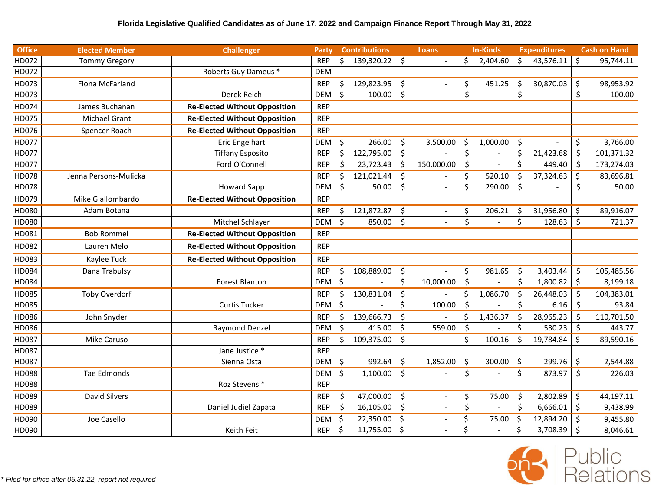| <b>Office</b> | <b>Elected Member</b> | <b>Challenger</b>                    | Party      | <b>Contributions</b> |         | Loans          | <b>In-Kinds</b> |          | <b>Expenditures</b> |           |         | <b>Cash on Hand</b> |
|---------------|-----------------------|--------------------------------------|------------|----------------------|---------|----------------|-----------------|----------|---------------------|-----------|---------|---------------------|
| HD072         | <b>Tommy Gregory</b>  |                                      | <b>REP</b> | \$<br>139,320.22     | $\zeta$ |                |                 | 2,404.60 | \$                  | 43,576.11 | $\zeta$ | 95,744.11           |
| HD072         |                       | Roberts Guy Dameus *                 | <b>DEM</b> |                      |         |                |                 |          |                     |           |         |                     |
| HD073         | Fiona McFarland       |                                      | <b>REP</b> | \$<br>129,823.95     | \$      | $\overline{a}$ | \$              | 451.25   | \$                  | 30,870.03 | \$      | 98,953.92           |
| HD073         |                       | Derek Reich                          | <b>DEM</b> | \$<br>100.00         | $\zeta$ |                | \$              |          | \$                  |           | \$      | 100.00              |
| HD074         | James Buchanan        | <b>Re-Elected Without Opposition</b> | <b>REP</b> |                      |         |                |                 |          |                     |           |         |                     |
| HD075         | <b>Michael Grant</b>  | <b>Re-Elected Without Opposition</b> | <b>REP</b> |                      |         |                |                 |          |                     |           |         |                     |
| HD076         | Spencer Roach         | <b>Re-Elected Without Opposition</b> | <b>REP</b> |                      |         |                |                 |          |                     |           |         |                     |
| HD077         |                       | Eric Engelhart                       | <b>DEM</b> | \$<br>266.00         | \$      | 3,500.00       | \$              | 1,000.00 | \$                  | $\sim$    | \$      | 3,766.00            |
| HD077         |                       | <b>Tiffany Esposito</b>              | <b>REP</b> | \$<br>122,795.00     | $\zeta$ |                | \$              |          | \$                  | 21,423.68 | \$      | 101,371.32          |
| HD077         |                       | Ford O'Connell                       | <b>REP</b> | \$<br>23,723.43      | \$      | 150,000.00     | \$              |          | Ś.                  | 449.40    | $\zeta$ | 173,274.03          |
| HD078         | Jenna Persons-Mulicka |                                      | <b>REP</b> | \$<br>121,021.44     | $\zeta$ |                | \$              | 520.10   | \$                  | 37,324.63 | $\zeta$ | 83,696.81           |
| HD078         |                       | <b>Howard Sapp</b>                   | <b>DEM</b> | \$<br>50.00          | \$      |                | \$              | 290.00   | \$                  |           | \$      | 50.00               |
| HD079         | Mike Giallombardo     | <b>Re-Elected Without Opposition</b> | <b>REP</b> |                      |         |                |                 |          |                     |           |         |                     |
| HD080         | Adam Botana           |                                      | <b>REP</b> | \$<br>121,872.87     | \$      |                | \$              | 206.21   | \$                  | 31,956.80 | \$      | 89,916.07           |
| HD080         |                       | Mitchel Schlayer                     | <b>DEM</b> | \$<br>850.00         | $\zeta$ | $\overline{a}$ | \$              |          | \$                  | 128.63    | \$      | 721.37              |
| HD081         | <b>Bob Rommel</b>     | <b>Re-Elected Without Opposition</b> | <b>REP</b> |                      |         |                |                 |          |                     |           |         |                     |
| HD082         | Lauren Melo           | <b>Re-Elected Without Opposition</b> | <b>REP</b> |                      |         |                |                 |          |                     |           |         |                     |
| HD083         | Kaylee Tuck           | <b>Re-Elected Without Opposition</b> | <b>REP</b> |                      |         |                |                 |          |                     |           |         |                     |
| HD084         | Dana Trabulsy         |                                      | <b>REP</b> | \$<br>108,889.00     | \$      |                | \$              | 981.65   | \$                  | 3,403.44  | \$      | 105,485.56          |
| HD084         |                       | <b>Forest Blanton</b>                | <b>DEM</b> | \$                   | \$      | 10,000.00      | $\zeta$         |          | \$                  | 1,800.82  | \$      | 8,199.18            |
| HD085         | Toby Overdorf         |                                      | <b>REP</b> | \$<br>130,831.04     | \$      |                | \$              | 1,086.70 | \$                  | 26,448.03 | \$      | 104,383.01          |
| HD085         |                       | <b>Curtis Tucker</b>                 | <b>DEM</b> | \$                   | \$      | 100.00         | \$              |          | \$                  | 6.16      | \$      | 93.84               |
| HD086         | John Snyder           |                                      | <b>REP</b> | \$<br>139,666.73     | $\zeta$ |                | \$              | 1,436.37 | \$                  | 28,965.23 | \$      | 110,701.50          |
| HD086         |                       | Raymond Denzel                       | DEM        | \$<br>415.00         | \$      | 559.00         | $\zeta$         |          | \$                  | 530.23    | $\zeta$ | 443.77              |
| HD087         | <b>Mike Caruso</b>    |                                      | <b>REP</b> | \$<br>109,375.00     | \$      |                | \$              | 100.16   | \$                  | 19,784.84 | \$      | 89,590.16           |
| HD087         |                       | Jane Justice *                       | <b>REP</b> |                      |         |                |                 |          |                     |           |         |                     |
| HD087         |                       | Sienna Osta                          | DEM        | \$<br>992.64         | \$      | 1,852.00       | \$              | 300.00   | \$                  | 299.76    | \$      | 2,544.88            |
| HD088         | Tae Edmonds           |                                      | <b>DEM</b> | \$<br>1,100.00       | $\zeta$ |                | \$              |          | \$                  | 873.97    | \$      | 226.03              |
| HD088         |                       | Roz Stevens *                        | <b>REP</b> |                      |         |                |                 |          |                     |           |         |                     |
| HD089         | <b>David Silvers</b>  |                                      | <b>REP</b> | \$<br>47,000.00      | $\zeta$ |                | \$              | 75.00    | \$                  | 2,802.89  | $\zeta$ | 44,197.11           |
| HD089         |                       | Daniel Judiel Zapata                 | <b>REP</b> | \$<br>16,105.00      | \$      |                | \$              |          | \$                  | 6,666.01  | $\zeta$ | 9,438.99            |
| HD090         | Joe Casello           |                                      | <b>DEM</b> | \$<br>22,350.00      | $\zeta$ | $\overline{a}$ | \$              | 75.00    | \$                  | 12,894.20 | Š.      | 9,455.80            |
| HD090         |                       | Keith Feit                           | <b>REP</b> | \$<br>11,755.00      | \$      |                | \$              |          | \$                  | 3,708.39  | $\zeta$ | 8,046.61            |

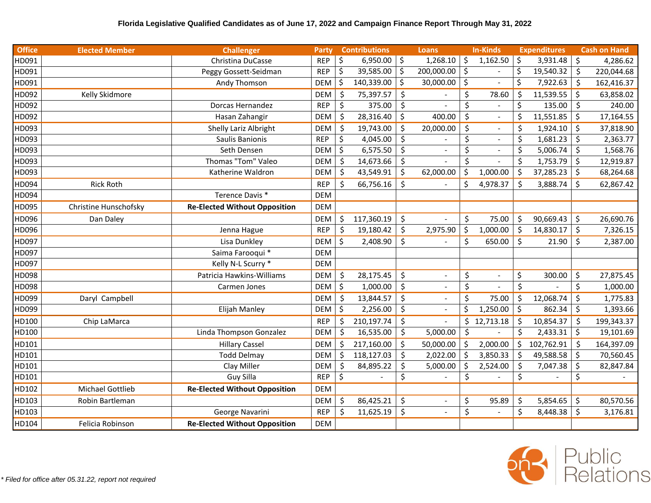| <b>Office</b> | <b>Elected Member</b> | <b>Challenger</b>                    | Party      |         | <b>Contributions</b> |                    | <b>Loans</b>             |                                | <b>In-Kinds</b> |         | <b>Expenditures</b> |         | <b>Cash on Hand</b> |
|---------------|-----------------------|--------------------------------------|------------|---------|----------------------|--------------------|--------------------------|--------------------------------|-----------------|---------|---------------------|---------|---------------------|
| HD091         |                       | Christina DuCasse                    | <b>REP</b> | \$      | 6,950.00             | $\vert$ \$         | 1,268.10                 | \$                             | 1,162.50        | \$      | 3,931.48            | \$      | 4,286.62            |
| HD091         |                       | Peggy Gossett-Seidman                | <b>REP</b> | \$      | 39,585.00            | \$ ا               | 200,000.00               | \$                             |                 | $\zeta$ | 19,540.32           | \$      | 220,044.68          |
| HD091         |                       | Andy Thomson                         | <b>DEM</b> | \$      | 140,339.00           | $\zeta$            | 30,000.00                | \$                             | $\blacksquare$  | \$      | 7,922.63            | Ś.      | 162,416.37          |
| HD092         | Kelly Skidmore        |                                      | <b>DEM</b> | \$      | 75,397.57            | $\zeta$            |                          | \$                             | 78.60           | \$      | 11,539.55           | \$      | 63,858.02           |
| HD092         |                       | Dorcas Hernandez                     | <b>REP</b> | $\zeta$ | 375.00               | $\zeta$            |                          | \$                             |                 | \$      | 135.00              | \$      | 240.00              |
| HD092         |                       | Hasan Zahangir                       | <b>DEM</b> | $\zeta$ | 28,316.40            | $\zeta$            | 400.00                   | $\zeta$                        | $\sim$          | \$      | 11,551.85           | $\zeta$ | 17,164.55           |
| HD093         |                       | Shelly Lariz Albright                | <b>DEM</b> | \$      | 19,743.00            | $\zeta$            | 20,000.00                | \$                             | $\blacksquare$  | Ś       | 1,924.10            | \$      | 37,818.90           |
| HD093         |                       | Saulis Banionis                      | <b>REP</b> | $\zeta$ | 4,045.00             | \$                 |                          | \$                             | $\blacksquare$  | \$      | 1,681.23            | \$      | 2,363.77            |
| HD093         |                       | Seth Densen                          | <b>DEM</b> | \$      | 6,575.50             | $\mathsf{\dot{S}}$ |                          | \$                             | $\blacksquare$  | \$      | 5,006.74            | \$      | 1,568.76            |
| HD093         |                       | Thomas "Tom" Valeo                   | <b>DEM</b> | \$      | 14,673.66            | $\zeta$            |                          | $\zeta$                        | $\blacksquare$  | \$      | 1,753.79            | $\zeta$ | 12,919.87           |
| HD093         |                       | Katherine Waldron                    | <b>DEM</b> | \$      | 43,549.91            | $\zeta$            | 62,000.00                | \$                             | 1,000.00        | \$      | 37,285.23           | \$      | 68,264.68           |
| HD094         | <b>Rick Roth</b>      |                                      | <b>REP</b> | $\zeta$ | 66,756.16            | $\mathsf{\dot{S}}$ |                          | \$                             | 4,978.37        | Ś       | 3,888.74            | $\zeta$ | 62,867.42           |
| HD094         |                       | Terence Davis *                      | <b>DEM</b> |         |                      |                    |                          |                                |                 |         |                     |         |                     |
| HD095         | Christine Hunschofsky | <b>Re-Elected Without Opposition</b> | <b>DEM</b> |         |                      |                    |                          |                                |                 |         |                     |         |                     |
| HD096         | Dan Daley             |                                      | <b>DEM</b> | \$      | 117,360.19           | \$                 |                          | \$                             | 75.00           | \$      | 90,669.43           | \$      | 26,690.76           |
| HD096         |                       | Jenna Hague                          | <b>REP</b> | \$      | 19,180.42            | $\zeta$            | 2,975.90                 | \$                             | 1,000.00        | $\zeta$ | 14,830.17           | \$      | 7,326.15            |
| HD097         |                       | Lisa Dunkley                         | <b>DEM</b> | \$      | 2,408.90             | \$                 |                          | \$                             | 650.00          | \$      | 21.90               | \$      | 2,387.00            |
| HD097         |                       | Saima Farooqui *                     | <b>DEM</b> |         |                      |                    |                          |                                |                 |         |                     |         |                     |
| HD097         |                       | Kelly N-L Scurry *                   | <b>DEM</b> |         |                      |                    |                          |                                |                 |         |                     |         |                     |
| HD098         |                       | Patricia Hawkins-Williams            | <b>DEM</b> | \$      | 28,175.45            | $\zeta$            | $\overline{\phantom{a}}$ | \$                             | $\omega$        | \$      | 300.00              | $\zeta$ | 27,875.45           |
| HD098         |                       | Carmen Jones                         | <b>DEM</b> | \$      | 1,000.00             | $\zeta$            |                          | $\boldsymbol{\dot{\varsigma}}$ |                 | Ś       |                     | \$      | 1,000.00            |
| HD099         | Daryl Campbell        |                                      | <b>DEM</b> | \$      | 13,844.57            | $\zeta$            | $\blacksquare$           | \$                             | 75.00           | \$      | 12,068.74           | \$      | 1,775.83            |
| HD099         |                       | Elijah Manley                        | <b>DEM</b> | $\zeta$ | 2,256.00             | $\zeta$            | $\overline{a}$           | Ś.                             | 1,250.00        | \$      | 862.34              | \$      | 1,393.66            |
| HD100         | Chip LaMarca          |                                      | <b>REP</b> | \$      | 210,197.74           | $\zeta$            |                          | \$                             | 12,713.18       | \$      | 10,854.37           | \$      | 199,343.37          |
| HD100         |                       | Linda Thompson Gonzalez              | <b>DEM</b> | \$      | 16,535.00            | $\zeta$            | 5,000.00                 | $\zeta$                        |                 | Ś       | 2,433.31            | $\zeta$ | 19,101.69           |
| HD101         |                       | <b>Hillary Cassel</b>                | DEM        |         | 217,160.00           | \$                 | 50,000.00                | \$                             | 2,000.00        | Ś       | 102,762.91          | Ś       | 164,397.09          |
| HD101         |                       | <b>Todd Delmay</b>                   | <b>DEM</b> | \$      | 118,127.03           | \$                 | 2,022.00                 | \$                             | 3,850.33        | Ś       | 49,588.58           | \$      | 70,560.45           |
| HD101         |                       | Clay Miller                          | <b>DEM</b> | \$      | 84,895.22            | \$                 | 5,000.00                 | \$                             | 2,524.00        | \$      | 7,047.38            | \$      | 82,847.84           |
| HD101         |                       | Guy Silla                            | <b>REP</b> | \$      |                      | \$                 |                          | \$                             |                 | \$      |                     | \$      |                     |
| HD102         | Michael Gottlieb      | <b>Re-Elected Without Opposition</b> | <b>DEM</b> |         |                      |                    |                          |                                |                 |         |                     |         |                     |
| HD103         | Robin Bartleman       |                                      | DEM        | \$      | 86,425.21            | \$                 | $\overline{a}$           | \$                             | 95.89           | \$      | 5,854.65            | \$      | 80,570.56           |
| HD103         |                       | George Navarini                      | <b>REP</b> | Ś.      | 11,625.19            | \$                 |                          | $\zeta$                        |                 | \$      | 8,448.38            | Ś.      | 3,176.81            |
| HD104         | Felicia Robinson      | <b>Re-Elected Without Opposition</b> | <b>DEM</b> |         |                      |                    |                          |                                |                 |         |                     |         |                     |

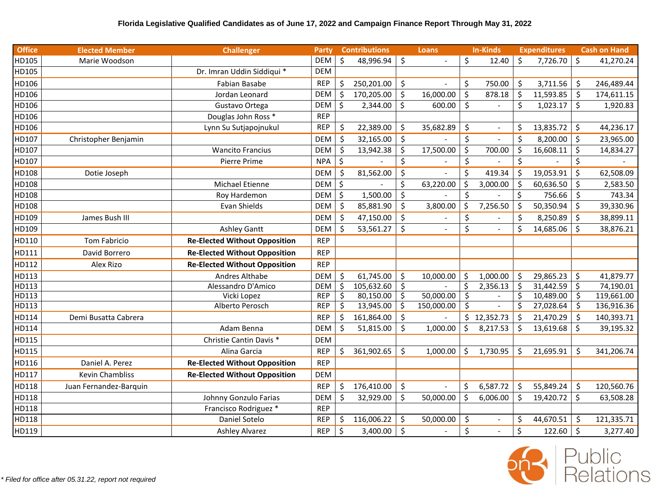| <b>Office</b> | <b>Elected Member</b>  | <b>Challenger</b>                    | <b>Party</b> |         | <b>Contributions</b> |                    | <b>Loans</b> |         | <b>In-Kinds</b>          |         | <b>Expenditures</b> |         | <b>Cash on Hand</b> |
|---------------|------------------------|--------------------------------------|--------------|---------|----------------------|--------------------|--------------|---------|--------------------------|---------|---------------------|---------|---------------------|
| HD105         | Marie Woodson          |                                      | <b>DEM</b>   | $\zeta$ | 48,996.94            | ∣\$                |              | \$      | 12.40                    | \$      | 7,726.70            | $\zeta$ | 41,270.24           |
| HD105         |                        | Dr. Imran Uddin Siddiqui *           | <b>DEM</b>   |         |                      |                    |              |         |                          |         |                     |         |                     |
| HD106         |                        | Fabian Basabe                        | <b>REP</b>   | \$      | 250,201.00           | $\zeta$            |              | \$      | 750.00                   | \$      | 3,711.56            | \$      | 246,489.44          |
| HD106         |                        | Jordan Leonard                       | <b>DEM</b>   | \$      | 170,205.00           | -\$                | 16,000.00    | \$      | 878.18                   | $\zeta$ | 11,593.85           | Ŝ.      | 174,611.15          |
| HD106         |                        | Gustavo Ortega                       | <b>DEM</b>   | \$      | 2,344.00             | $\zeta$            | 600.00       | $\zeta$ | $\overline{\phantom{a}}$ | \$      | 1,023.17            | \$      | 1,920.83            |
| HD106         |                        | Douglas John Ross *                  | <b>REP</b>   |         |                      |                    |              |         |                          |         |                     |         |                     |
| HD106         |                        | Lynn Su Sutjapojnukul                | <b>REP</b>   | \$      | 22,389.00            | \$                 | 35,682.89    | $\zeta$ | $\blacksquare$           | \$      | 13,835.72           | $\zeta$ | 44,236.17           |
| HD107         | Christopher Benjamin   |                                      | <b>DEM</b>   | \$      | 32,165.00            | -\$                |              | \$      | $\overline{a}$           | \$      | 8,200.00            | \$      | 23,965.00           |
| HD107         |                        | <b>Wancito Francius</b>              | <b>DEM</b>   | \$      | 13,942.38            | $\zeta$            | 17,500.00    | $\zeta$ | 700.00                   | \$      | 16,608.11           | \$      | 14,834.27           |
| HD107         |                        | Pierre Prime                         | <b>NPA</b>   | \$      |                      | \$                 |              | \$      |                          | \$      |                     | \$      |                     |
| HD108         | Dotie Joseph           |                                      | <b>DEM</b>   | \$      | 81,562.00            | $\zeta$            |              | $\zeta$ | 419.34                   | $\zeta$ | 19,053.91           | \$      | 62,508.09           |
| HD108         |                        | Michael Etienne                      | <b>DEM</b>   | \$      |                      | \$                 | 63,220.00    | \$      | 3,000.00                 | $\zeta$ | 60,636.50           | \$      | 2,583.50            |
| HD108         |                        | Roy Hardemon                         | <b>DEM</b>   | \$      | 1,500.00             | $\zeta$            |              | $\zeta$ |                          | $\zeta$ | 756.66              | $\zeta$ | 743.34              |
| HD108         |                        | Evan Shields                         | <b>DEM</b>   | $\zeta$ | 85,881.90            | $\zeta$            | 3,800.00     | \$      | 7,256.50                 | \$      | 50,350.94           | $\zeta$ | 39,330.96           |
| HD109         | James Bush III         |                                      | <b>DEM</b>   | $\zeta$ | 47,150.00            | \$                 |              | \$      |                          | \$      | 8,250.89            | $\zeta$ | 38,899.11           |
| HD109         |                        | <b>Ashley Gantt</b>                  | <b>DEM</b>   | Ś       | 53,561.27            | $\zeta$            |              | \$      |                          | \$      | 14,685.06           | \$      | 38,876.21           |
| HD110         | Tom Fabricio           | <b>Re-Elected Without Opposition</b> | <b>REP</b>   |         |                      |                    |              |         |                          |         |                     |         |                     |
| HD111         | David Borrero          | <b>Re-Elected Without Opposition</b> | <b>REP</b>   |         |                      |                    |              |         |                          |         |                     |         |                     |
| HD112         | Alex Rizo              | <b>Re-Elected Without Opposition</b> | <b>REP</b>   |         |                      |                    |              |         |                          |         |                     |         |                     |
| HD113         |                        | Andres Althabe                       | DEM          | \$      | 61,745.00            | -\$                | 10,000.00    | \$      | 1,000.00                 | $\zeta$ | 29,865.23           | $\zeta$ | 41,879.77           |
| HD113         |                        | Alessandro D'Amico                   | <b>DEM</b>   | \$      | 105,632.60           | -\$                |              | \$      | 2,356.13                 | \$      | 31,442.59           | \$      | 74,190.01           |
| HD113         |                        | Vicki Lopez                          | <b>REP</b>   | \$      | 80,150.00            | -\$                | 50,000.00    | $\zeta$ |                          | \$      | 10,489.00           | $\zeta$ | 119,661.00          |
| HD113         |                        | Alberto Perosch                      | <b>REP</b>   | \$      | 13,945.00            | $\zeta$            | 150,000.00   | \$      |                          | \$      | 27,028.64           | \$      | 136,916.36          |
| HD114         | Demi Busatta Cabrera   |                                      | <b>REP</b>   | \$      | 161,864.00           | -\$                |              | \$      | 12,352.73                | \$      | 21,470.29           | \$      | 140,393.71          |
| HD114         |                        | Adam Benna                           | <b>DEM</b>   | \$      | 51,815.00            | \$                 | 1,000.00     | \$      | 8,217.53                 | \$      | 13,619.68           | \$      | 39,195.32           |
| HD115         |                        | Christie Cantin Davis *              | <b>DEM</b>   |         |                      |                    |              |         |                          |         |                     |         |                     |
| HD115         |                        | Alina Garcia                         | <b>REP</b>   | \$      | 361,902.65           | \$                 | 1,000.00     | \$      | 1,730.95                 | Ś       | 21,695.91           | \$      | 341,206.74          |
| HD116         | Daniel A. Perez        | <b>Re-Elected Without Opposition</b> | <b>REP</b>   |         |                      |                    |              |         |                          |         |                     |         |                     |
| HD117         | <b>Kevin Chambliss</b> | <b>Re-Elected Without Opposition</b> | <b>DEM</b>   |         |                      |                    |              |         |                          |         |                     |         |                     |
| HD118         | Juan Fernandez-Barquin |                                      | <b>REP</b>   | \$      | 176,410.00           | \$                 |              | \$      | 6,587.72                 | $\zeta$ | 55,849.24           | \$      | 120,560.76          |
| HD118         |                        | Johnny Gonzulo Farias                | <b>DEM</b>   | \$      | 32,929.00            | $\mathsf{\dot{S}}$ | 50,000.00    | \$      | 6,006.00                 | \$      | 19,420.72           | $\zeta$ | 63,508.28           |
| HD118         |                        | Francisco Rodriguez *                | <b>REP</b>   |         |                      |                    |              |         |                          |         |                     |         |                     |
| HD118         |                        | Daniel Sotelo                        | <b>REP</b>   | \$      | 116,006.22           | $\zeta$            | 50,000.00    | \$      | $\sim$                   | \$      | 44,670.51           | \$      | 121,335.71          |
| HD119         |                        | <b>Ashley Alvarez</b>                | <b>REP</b>   | $\zeta$ | 3,400.00             | -\$                |              | \$      |                          | \$      | 122.60              | $\zeta$ | 3,277.40            |